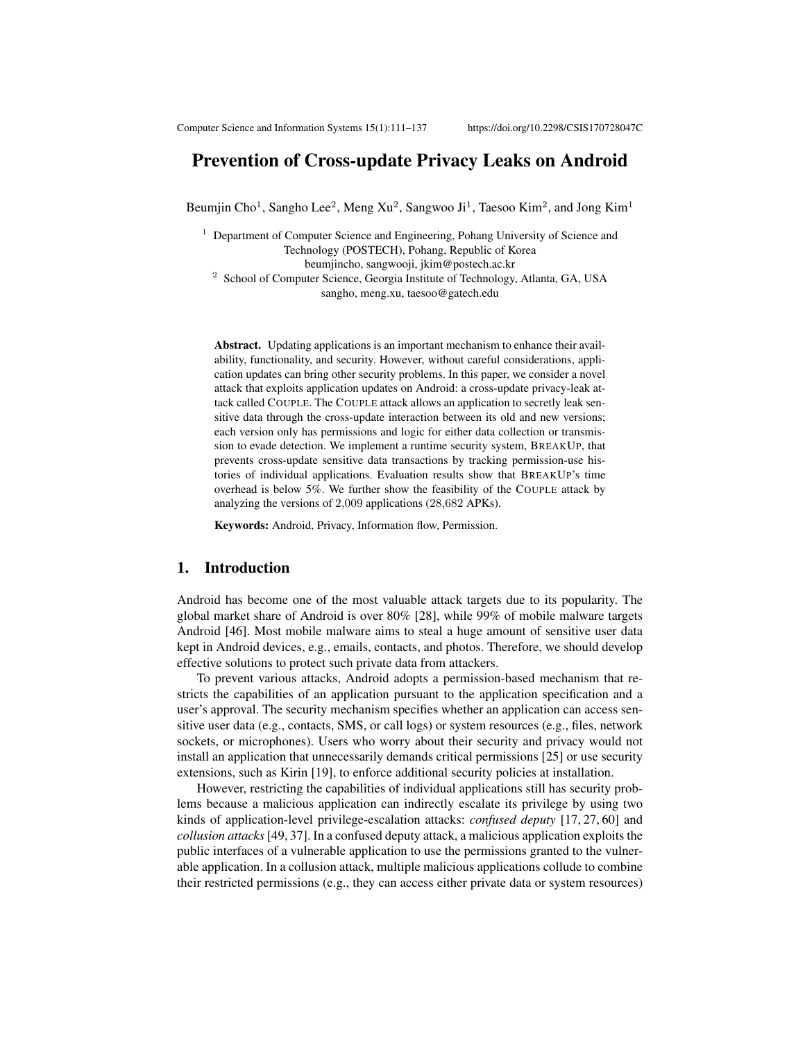# Prevention of Cross-update Privacy Leaks on Android

Beumjin Cho<sup>1</sup>, Sangho Lee<sup>2</sup>, Meng Xu<sup>2</sup>, Sangwoo Ji<sup>1</sup>, Taesoo Kim<sup>2</sup>, and Jong Kim<sup>1</sup>

<sup>1</sup> Department of Computer Science and Engineering, Pohang University of Science and Technology (POSTECH), Pohang, Republic of Korea beumjincho, sangwooji, jkim@postech.ac.kr <sup>2</sup> School of Computer Science, Georgia Institute of Technology, Atlanta, GA, USA sangho, meng.xu, taesoo@gatech.edu

Abstract. Updating applications is an important mechanism to enhance their availability, functionality, and security. However, without careful considerations, application updates can bring other security problems. In this paper, we consider a novel attack that exploits application updates on Android: a cross-update privacy-leak attack called COUPLE. The COUPLE attack allows an application to secretly leak sensitive data through the cross-update interaction between its old and new versions; each version only has permissions and logic for either data collection or transmission to evade detection. We implement a runtime security system, BREAKUP, that prevents cross-update sensitive data transactions by tracking permission-use histories of individual applications. Evaluation results show that BREAKUP's time overhead is below 5%. We further show the feasibility of the COUPLE attack by analyzing the versions of 2,009 applications (28,682 APKs).

Keywords: Android, Privacy, Information flow, Permission.

### 1. Introduction

Android has become one of the most valuable attack targets due to its popularity. The global market share of Android is over 80% [28], while 99% of mobile malware targets Android [46]. Most mobile malware aims to steal a huge amount of sensitive user data kept in Android devices, e.g., emails, contacts, and photos. Therefore, we should develop effective solutions to protect such private data from attackers.

To prevent various attacks, Android adopts a permission-based mechanism that restricts the capabilities of an application pursuant to the application specification and a user's approval. The security mechanism specifies whether an application can access sensitive user data (e.g., contacts, SMS, or call logs) or system resources (e.g., files, network sockets, or microphones). Users who worry about their security and privacy would not install an application that unnecessarily demands critical permissions [25] or use security extensions, such as Kirin [19], to enforce additional security policies at installation.

However, restricting the capabilities of individual applications still has security problems because a malicious application can indirectly escalate its privilege by using two kinds of application-level privilege-escalation attacks: *confused deputy* [17, 27, 60] and *collusion attacks* [49, 37]. In a confused deputy attack, a malicious application exploits the public interfaces of a vulnerable application to use the permissions granted to the vulnerable application. In a collusion attack, multiple malicious applications collude to combine their restricted permissions (e.g., they can access either private data or system resources)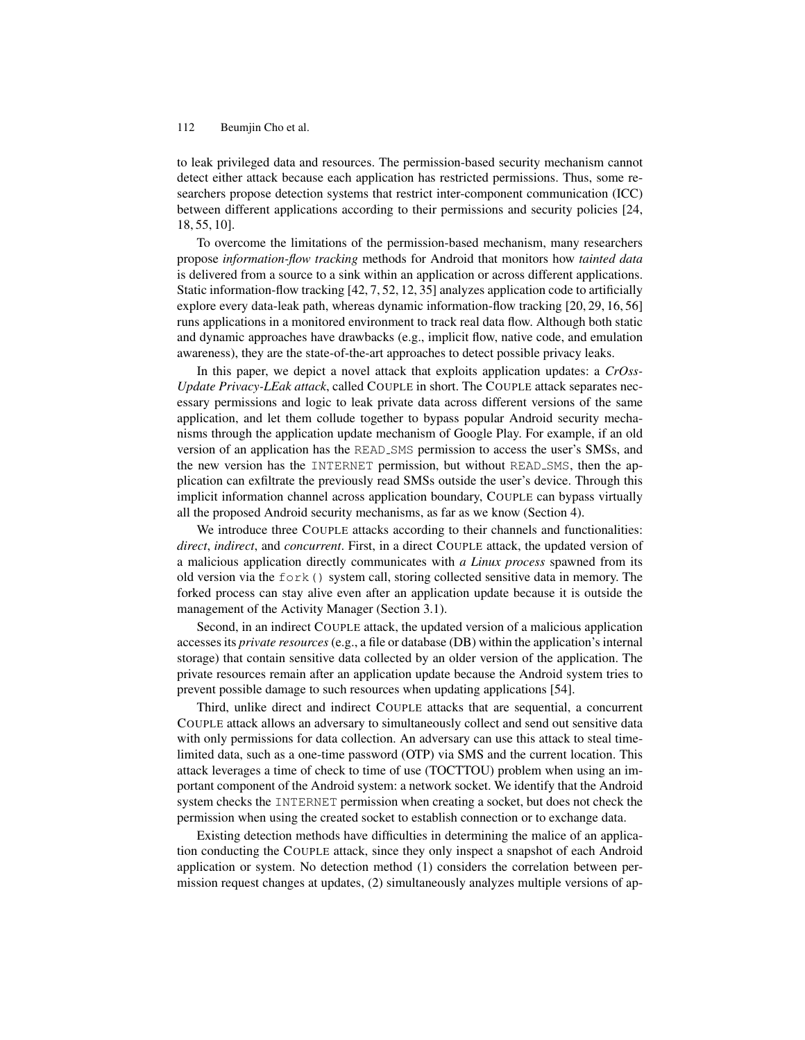to leak privileged data and resources. The permission-based security mechanism cannot detect either attack because each application has restricted permissions. Thus, some researchers propose detection systems that restrict inter-component communication (ICC) between different applications according to their permissions and security policies [24, 18, 55, 10].

To overcome the limitations of the permission-based mechanism, many researchers propose *information-flow tracking* methods for Android that monitors how *tainted data* is delivered from a source to a sink within an application or across different applications. Static information-flow tracking [42, 7, 52, 12, 35] analyzes application code to artificially explore every data-leak path, whereas dynamic information-flow tracking [20, 29, 16, 56] runs applications in a monitored environment to track real data flow. Although both static and dynamic approaches have drawbacks (e.g., implicit flow, native code, and emulation awareness), they are the state-of-the-art approaches to detect possible privacy leaks.

In this paper, we depict a novel attack that exploits application updates: a *CrOss-Update Privacy-LEak attack*, called COUPLE in short. The COUPLE attack separates necessary permissions and logic to leak private data across different versions of the same application, and let them collude together to bypass popular Android security mechanisms through the application update mechanism of Google Play. For example, if an old version of an application has the READ SMS permission to access the user's SMSs, and the new version has the INTERNET permission, but without READ SMS, then the application can exfiltrate the previously read SMSs outside the user's device. Through this implicit information channel across application boundary, COUPLE can bypass virtually all the proposed Android security mechanisms, as far as we know (Section 4).

We introduce three COUPLE attacks according to their channels and functionalities: *direct*, *indirect*, and *concurrent*. First, in a direct COUPLE attack, the updated version of a malicious application directly communicates with *a Linux process* spawned from its old version via the fork() system call, storing collected sensitive data in memory. The forked process can stay alive even after an application update because it is outside the management of the Activity Manager (Section 3.1).

Second, in an indirect COUPLE attack, the updated version of a malicious application accesses its *private resources* (e.g., a file or database (DB) within the application's internal storage) that contain sensitive data collected by an older version of the application. The private resources remain after an application update because the Android system tries to prevent possible damage to such resources when updating applications [54].

Third, unlike direct and indirect COUPLE attacks that are sequential, a concurrent COUPLE attack allows an adversary to simultaneously collect and send out sensitive data with only permissions for data collection. An adversary can use this attack to steal timelimited data, such as a one-time password (OTP) via SMS and the current location. This attack leverages a time of check to time of use (TOCTTOU) problem when using an important component of the Android system: a network socket. We identify that the Android system checks the INTERNET permission when creating a socket, but does not check the permission when using the created socket to establish connection or to exchange data.

Existing detection methods have difficulties in determining the malice of an application conducting the COUPLE attack, since they only inspect a snapshot of each Android application or system. No detection method (1) considers the correlation between permission request changes at updates, (2) simultaneously analyzes multiple versions of ap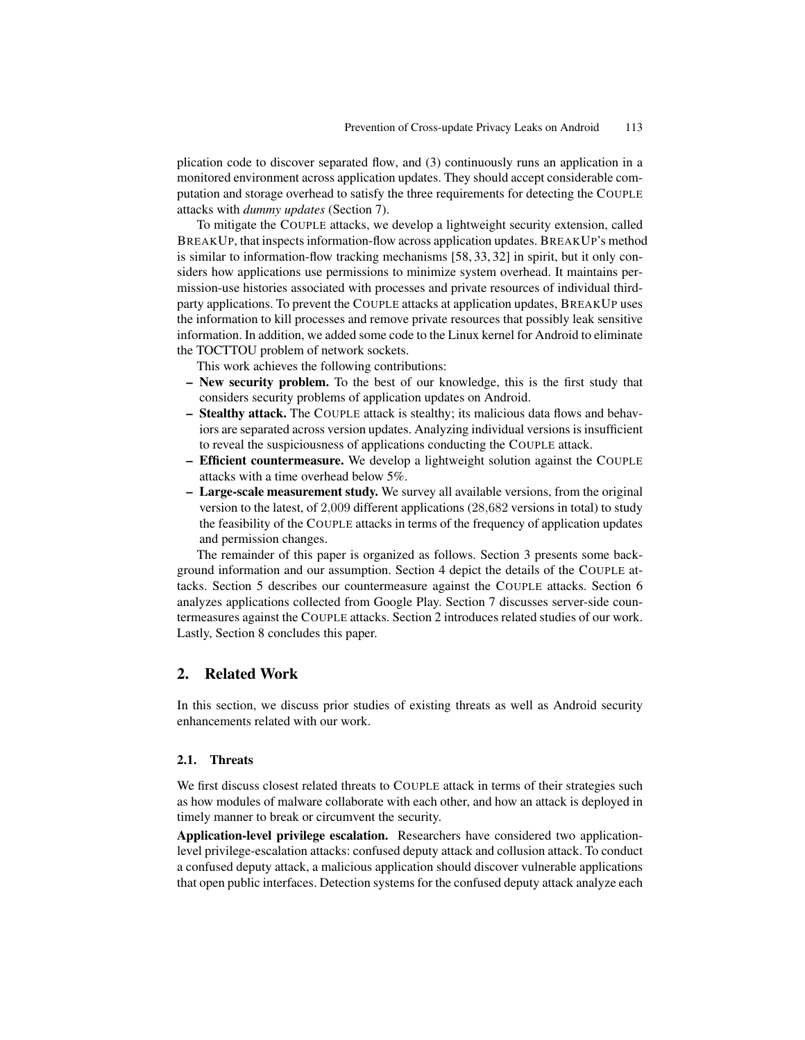plication code to discover separated flow, and (3) continuously runs an application in a monitored environment across application updates. They should accept considerable computation and storage overhead to satisfy the three requirements for detecting the COUPLE attacks with *dummy updates* (Section 7).

To mitigate the COUPLE attacks, we develop a lightweight security extension, called BREAKUP, that inspects information-flow across application updates. BREAKUP's method is similar to information-flow tracking mechanisms [58, 33, 32] in spirit, but it only considers how applications use permissions to minimize system overhead. It maintains permission-use histories associated with processes and private resources of individual thirdparty applications. To prevent the COUPLE attacks at application updates, BREAKUP uses the information to kill processes and remove private resources that possibly leak sensitive information. In addition, we added some code to the Linux kernel for Android to eliminate the TOCTTOU problem of network sockets.

This work achieves the following contributions:

- New security problem. To the best of our knowledge, this is the first study that considers security problems of application updates on Android.
- Stealthy attack. The COUPLE attack is stealthy; its malicious data flows and behaviors are separated across version updates. Analyzing individual versions is insufficient to reveal the suspiciousness of applications conducting the COUPLE attack.
- Efficient countermeasure. We develop a lightweight solution against the COUPLE attacks with a time overhead below 5%.
- Large-scale measurement study. We survey all available versions, from the original version to the latest, of 2,009 different applications (28,682 versions in total) to study the feasibility of the COUPLE attacks in terms of the frequency of application updates and permission changes.

The remainder of this paper is organized as follows. Section 3 presents some background information and our assumption. Section 4 depict the details of the COUPLE attacks. Section 5 describes our countermeasure against the COUPLE attacks. Section 6 analyzes applications collected from Google Play. Section 7 discusses server-side countermeasures against the COUPLE attacks. Section 2 introduces related studies of our work. Lastly, Section 8 concludes this paper.

## 2. Related Work

In this section, we discuss prior studies of existing threats as well as Android security enhancements related with our work.

#### 2.1. Threats

We first discuss closest related threats to COUPLE attack in terms of their strategies such as how modules of malware collaborate with each other, and how an attack is deployed in timely manner to break or circumvent the security.

Application-level privilege escalation. Researchers have considered two applicationlevel privilege-escalation attacks: confused deputy attack and collusion attack. To conduct a confused deputy attack, a malicious application should discover vulnerable applications that open public interfaces. Detection systems for the confused deputy attack analyze each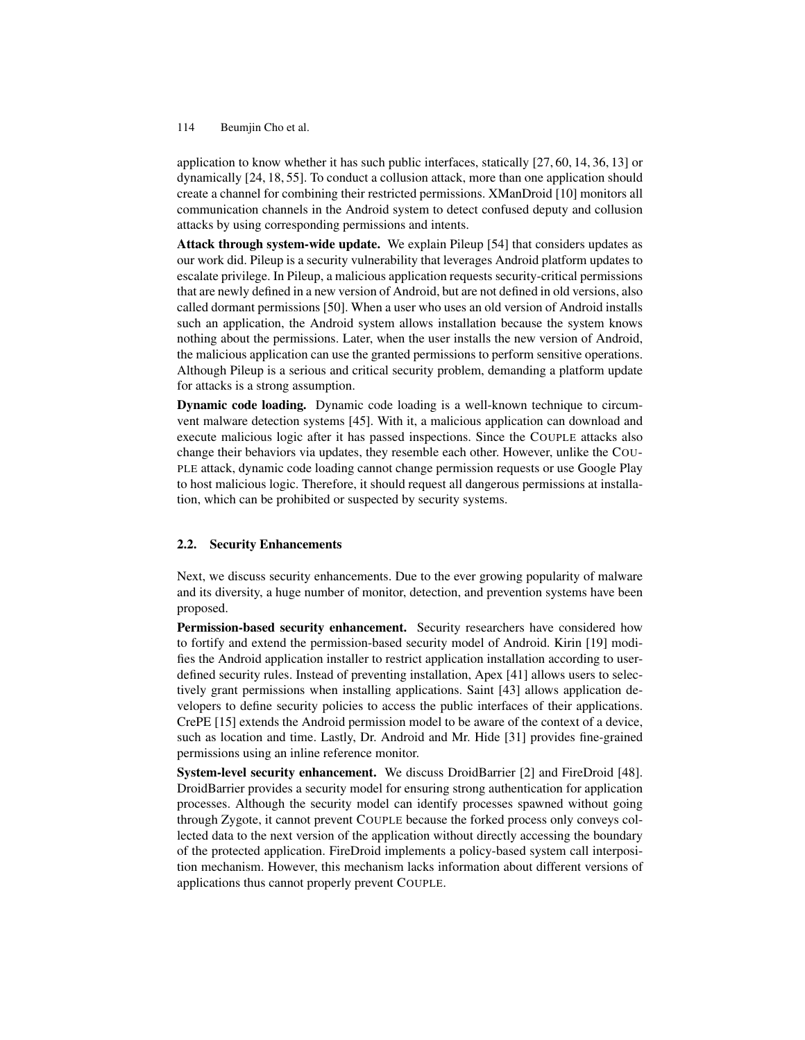application to know whether it has such public interfaces, statically [27, 60, 14, 36, 13] or dynamically [24, 18, 55]. To conduct a collusion attack, more than one application should create a channel for combining their restricted permissions. XManDroid [10] monitors all communication channels in the Android system to detect confused deputy and collusion attacks by using corresponding permissions and intents.

Attack through system-wide update. We explain Pileup [54] that considers updates as our work did. Pileup is a security vulnerability that leverages Android platform updates to escalate privilege. In Pileup, a malicious application requests security-critical permissions that are newly defined in a new version of Android, but are not defined in old versions, also called dormant permissions [50]. When a user who uses an old version of Android installs such an application, the Android system allows installation because the system knows nothing about the permissions. Later, when the user installs the new version of Android, the malicious application can use the granted permissions to perform sensitive operations. Although Pileup is a serious and critical security problem, demanding a platform update for attacks is a strong assumption.

Dynamic code loading. Dynamic code loading is a well-known technique to circumvent malware detection systems [45]. With it, a malicious application can download and execute malicious logic after it has passed inspections. Since the COUPLE attacks also change their behaviors via updates, they resemble each other. However, unlike the COU-PLE attack, dynamic code loading cannot change permission requests or use Google Play to host malicious logic. Therefore, it should request all dangerous permissions at installation, which can be prohibited or suspected by security systems.

#### 2.2. Security Enhancements

Next, we discuss security enhancements. Due to the ever growing popularity of malware and its diversity, a huge number of monitor, detection, and prevention systems have been proposed.

Permission-based security enhancement. Security researchers have considered how to fortify and extend the permission-based security model of Android. Kirin [19] modifies the Android application installer to restrict application installation according to userdefined security rules. Instead of preventing installation, Apex [41] allows users to selectively grant permissions when installing applications. Saint [43] allows application developers to define security policies to access the public interfaces of their applications. CrePE [15] extends the Android permission model to be aware of the context of a device, such as location and time. Lastly, Dr. Android and Mr. Hide [31] provides fine-grained permissions using an inline reference monitor.

System-level security enhancement. We discuss DroidBarrier [2] and FireDroid [48]. DroidBarrier provides a security model for ensuring strong authentication for application processes. Although the security model can identify processes spawned without going through Zygote, it cannot prevent COUPLE because the forked process only conveys collected data to the next version of the application without directly accessing the boundary of the protected application. FireDroid implements a policy-based system call interposition mechanism. However, this mechanism lacks information about different versions of applications thus cannot properly prevent COUPLE.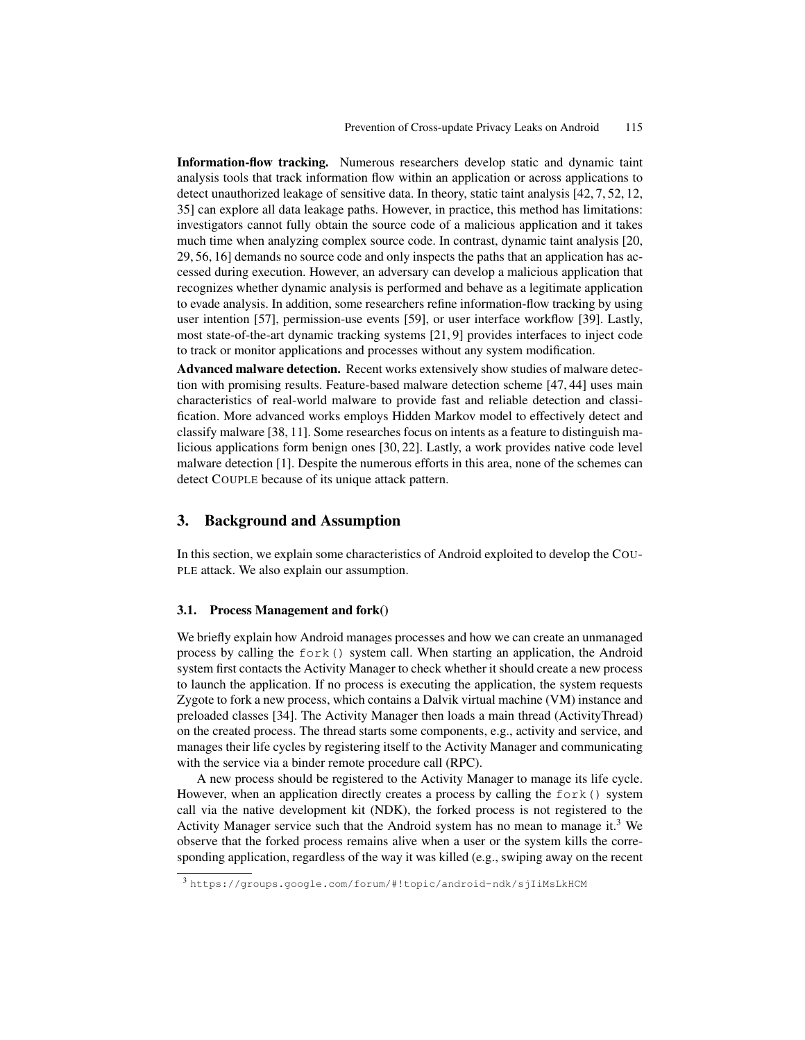Information-flow tracking. Numerous researchers develop static and dynamic taint analysis tools that track information flow within an application or across applications to detect unauthorized leakage of sensitive data. In theory, static taint analysis [42, 7, 52, 12, 35] can explore all data leakage paths. However, in practice, this method has limitations: investigators cannot fully obtain the source code of a malicious application and it takes much time when analyzing complex source code. In contrast, dynamic taint analysis [20, 29, 56, 16] demands no source code and only inspects the paths that an application has accessed during execution. However, an adversary can develop a malicious application that recognizes whether dynamic analysis is performed and behave as a legitimate application to evade analysis. In addition, some researchers refine information-flow tracking by using user intention [57], permission-use events [59], or user interface workflow [39]. Lastly, most state-of-the-art dynamic tracking systems [21, 9] provides interfaces to inject code to track or monitor applications and processes without any system modification.

Advanced malware detection. Recent works extensively show studies of malware detection with promising results. Feature-based malware detection scheme [47, 44] uses main characteristics of real-world malware to provide fast and reliable detection and classification. More advanced works employs Hidden Markov model to effectively detect and classify malware [38, 11]. Some researches focus on intents as a feature to distinguish malicious applications form benign ones [30, 22]. Lastly, a work provides native code level malware detection [1]. Despite the numerous efforts in this area, none of the schemes can detect COUPLE because of its unique attack pattern.

# 3. Background and Assumption

In this section, we explain some characteristics of Android exploited to develop the COU-PLE attack. We also explain our assumption.

#### 3.1. Process Management and fork()

We briefly explain how Android manages processes and how we can create an unmanaged process by calling the  $f \circ r k$  () system call. When starting an application, the Android system first contacts the Activity Manager to check whether it should create a new process to launch the application. If no process is executing the application, the system requests Zygote to fork a new process, which contains a Dalvik virtual machine (VM) instance and preloaded classes [34]. The Activity Manager then loads a main thread (ActivityThread) on the created process. The thread starts some components, e.g., activity and service, and manages their life cycles by registering itself to the Activity Manager and communicating with the service via a binder remote procedure call (RPC).

A new process should be registered to the Activity Manager to manage its life cycle. However, when an application directly creates a process by calling the fork() system call via the native development kit (NDK), the forked process is not registered to the Activity Manager service such that the Android system has no mean to manage it.<sup>3</sup> We observe that the forked process remains alive when a user or the system kills the corresponding application, regardless of the way it was killed (e.g., swiping away on the recent

<sup>3</sup> https://groups.google.com/forum/#!topic/android-ndk/sjIiMsLkHCM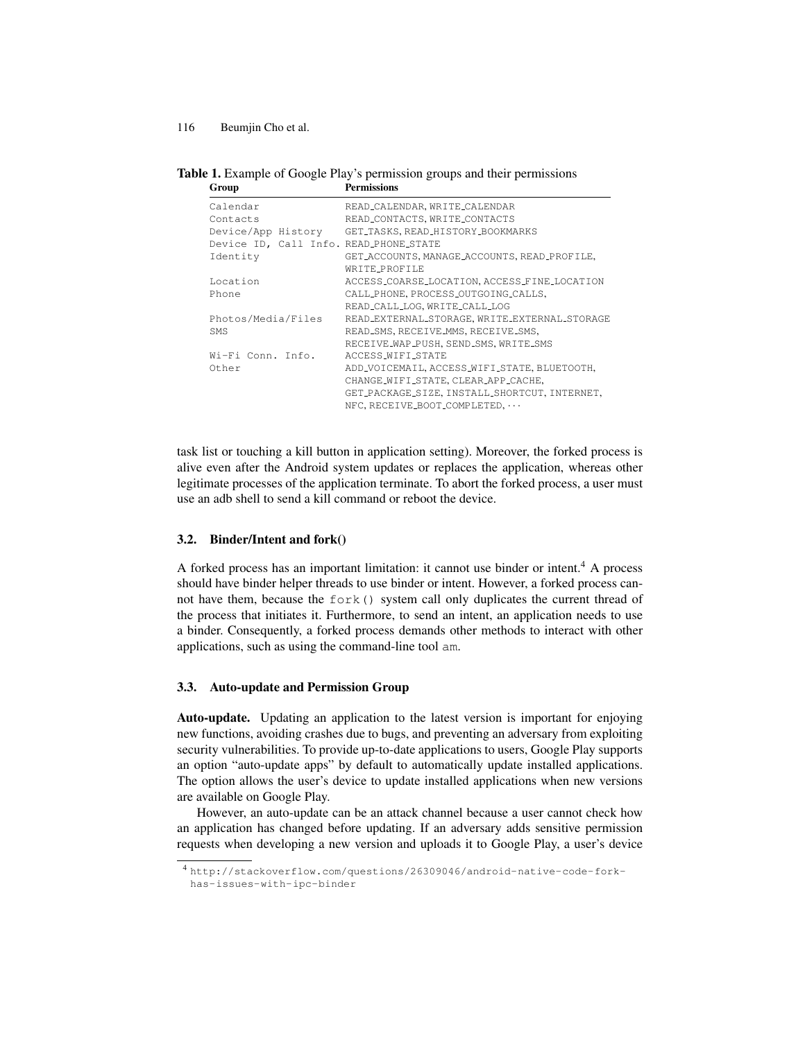Table 1. Example of Google Play's permission groups and their permissions Group Permissions

| Calendar                               | READ_CALENDAR, WRITE_CALENDAR                 |
|----------------------------------------|-----------------------------------------------|
| Contacts                               | READ_CONTACTS, WRITE_CONTACTS                 |
| Device/App History                     | GET_TASKS, READ_HISTORY_BOOKMARKS             |
| Device ID, Call Info. READ_PHONE_STATE |                                               |
| Identity                               | GET_ACCOUNTS, MANAGE_ACCOUNTS, READ_PROFILE,  |
|                                        | WRITE_PROFILE                                 |
| Location                               | ACCESS_COARSE_LOCATION, ACCESS_FINE_LOCATION  |
| Phone                                  | CALL_PHONE, PROCESS_OUTGOING_CALLS,           |
|                                        | READ_CALL_LOG, WRITE_CALL_LOG                 |
| Photos/Media/Files                     | READ_EXTERNAL_STORAGE, WRITE_EXTERNAL_STORAGE |
| <b>SMS</b>                             | READ_SMS, RECEIVE_MMS, RECEIVE_SMS,           |
|                                        | RECEIVE_WAP_PUSH, SEND_SMS, WRITE_SMS         |
| Wi-Fi Conn. Info.                      | ACCESS_WIFI_STATE                             |
| Other                                  | ADD_VOICEMAIL, ACCESS_WIFI_STATE, BLUETOOTH,  |
|                                        | CHANGE_WIFI_STATE, CLEAR_APP_CACHE,           |
|                                        | GET_PACKAGE_SIZE, INSTALL_SHORTCUT, INTERNET, |
|                                        | $NFC, RECEIVE_BOOT\_COMPLETED, \cdots$        |
|                                        |                                               |

task list or touching a kill button in application setting). Moreover, the forked process is alive even after the Android system updates or replaces the application, whereas other legitimate processes of the application terminate. To abort the forked process, a user must use an adb shell to send a kill command or reboot the device.

### 3.2. Binder/Intent and fork()

A forked process has an important limitation: it cannot use binder or intent.<sup>4</sup> A process should have binder helper threads to use binder or intent. However, a forked process cannot have them, because the  $f \circ f$  system call only duplicates the current thread of the process that initiates it. Furthermore, to send an intent, an application needs to use a binder. Consequently, a forked process demands other methods to interact with other applications, such as using the command-line tool am.

### 3.3. Auto-update and Permission Group

Auto-update. Updating an application to the latest version is important for enjoying new functions, avoiding crashes due to bugs, and preventing an adversary from exploiting security vulnerabilities. To provide up-to-date applications to users, Google Play supports an option "auto-update apps" by default to automatically update installed applications. The option allows the user's device to update installed applications when new versions are available on Google Play.

However, an auto-update can be an attack channel because a user cannot check how an application has changed before updating. If an adversary adds sensitive permission requests when developing a new version and uploads it to Google Play, a user's device

<sup>4</sup> http://stackoverflow.com/questions/26309046/android-native-code-forkhas-issues-with-ipc-binder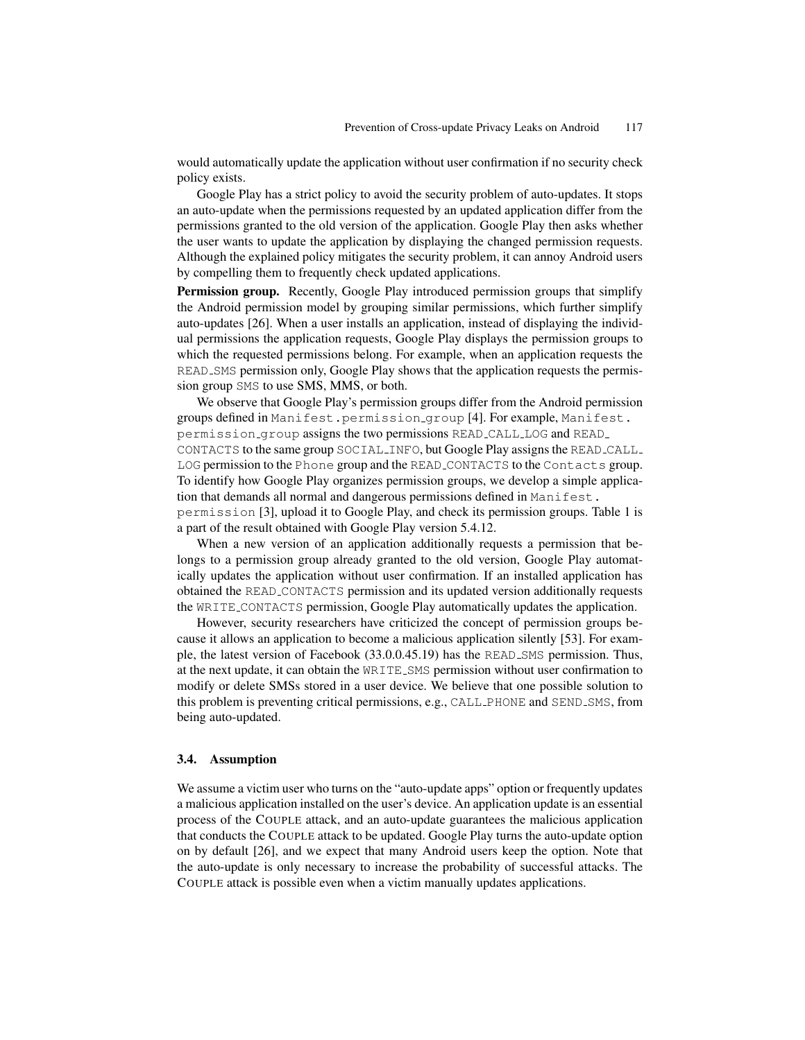would automatically update the application without user confirmation if no security check policy exists.

Google Play has a strict policy to avoid the security problem of auto-updates. It stops an auto-update when the permissions requested by an updated application differ from the permissions granted to the old version of the application. Google Play then asks whether the user wants to update the application by displaying the changed permission requests. Although the explained policy mitigates the security problem, it can annoy Android users by compelling them to frequently check updated applications.

**Permission group.** Recently, Google Play introduced permission groups that simplify the Android permission model by grouping similar permissions, which further simplify auto-updates [26]. When a user installs an application, instead of displaying the individual permissions the application requests, Google Play displays the permission groups to which the requested permissions belong. For example, when an application requests the READ SMS permission only, Google Play shows that the application requests the permission group SMS to use SMS, MMS, or both.

We observe that Google Play's permission groups differ from the Android permission groups defined in Manifest.permission group [4]. For example, Manifest. permission group assigns the two permissions READ CALL LOG and READ CONTACTS to the same group SOCIAL INFO, but Google Play assigns the READ CALL LOG permission to the Phone group and the READ CONTACTS to the Contacts group. To identify how Google Play organizes permission groups, we develop a simple application that demands all normal and dangerous permissions defined in Manifest. permission [3], upload it to Google Play, and check its permission groups. Table 1 is a part of the result obtained with Google Play version 5.4.12.

When a new version of an application additionally requests a permission that belongs to a permission group already granted to the old version, Google Play automatically updates the application without user confirmation. If an installed application has obtained the READ CONTACTS permission and its updated version additionally requests the WRITE CONTACTS permission, Google Play automatically updates the application.

However, security researchers have criticized the concept of permission groups because it allows an application to become a malicious application silently [53]. For example, the latest version of Facebook (33.0.0.45.19) has the READ SMS permission. Thus, at the next update, it can obtain the WRITE SMS permission without user confirmation to modify or delete SMSs stored in a user device. We believe that one possible solution to this problem is preventing critical permissions, e.g., CALL PHONE and SEND SMS, from being auto-updated.

#### 3.4. Assumption

We assume a victim user who turns on the "auto-update apps" option or frequently updates a malicious application installed on the user's device. An application update is an essential process of the COUPLE attack, and an auto-update guarantees the malicious application that conducts the COUPLE attack to be updated. Google Play turns the auto-update option on by default [26], and we expect that many Android users keep the option. Note that the auto-update is only necessary to increase the probability of successful attacks. The COUPLE attack is possible even when a victim manually updates applications.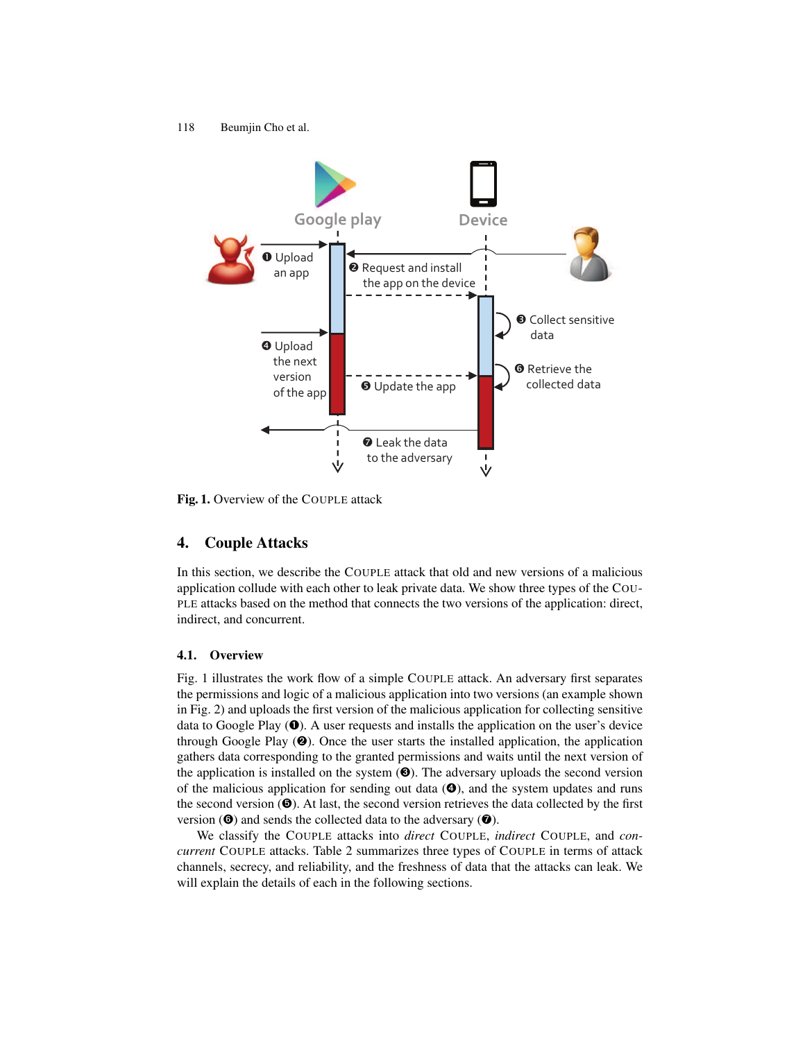

Fig. 1. Overview of the COUPLE attack

# 4. Couple Attacks

In this section, we describe the COUPLE attack that old and new versions of a malicious application collude with each other to leak private data. We show three types of the COU-PLE attacks based on the method that connects the two versions of the application: direct, indirect, and concurrent.

### 4.1. Overview

Fig. 1 illustrates the work flow of a simple COUPLE attack. An adversary first separates the permissions and logic of a malicious application into two versions (an example shown in Fig. 2) and uploads the first version of the malicious application for collecting sensitive data to Google Play  $(\mathbf{0})$ . A user requests and installs the application on the user's device through Google Play  $(\mathbf{\Theta})$ . Once the user starts the installed application, the application gathers data corresponding to the granted permissions and waits until the next version of the application is installed on the system  $(\bullet)$ . The adversary uploads the second version of the malicious application for sending out data  $(\mathbf{\Theta})$ , and the system updates and runs the second version  $(\mathbf{\Theta})$ . At last, the second version retrieves the data collected by the first version  $(\mathbf{\Theta})$  and sends the collected data to the adversary  $(\mathbf{\Theta})$ .

We classify the COUPLE attacks into *direct* COUPLE, *indirect* COUPLE, and *concurrent* COUPLE attacks. Table 2 summarizes three types of COUPLE in terms of attack channels, secrecy, and reliability, and the freshness of data that the attacks can leak. We will explain the details of each in the following sections.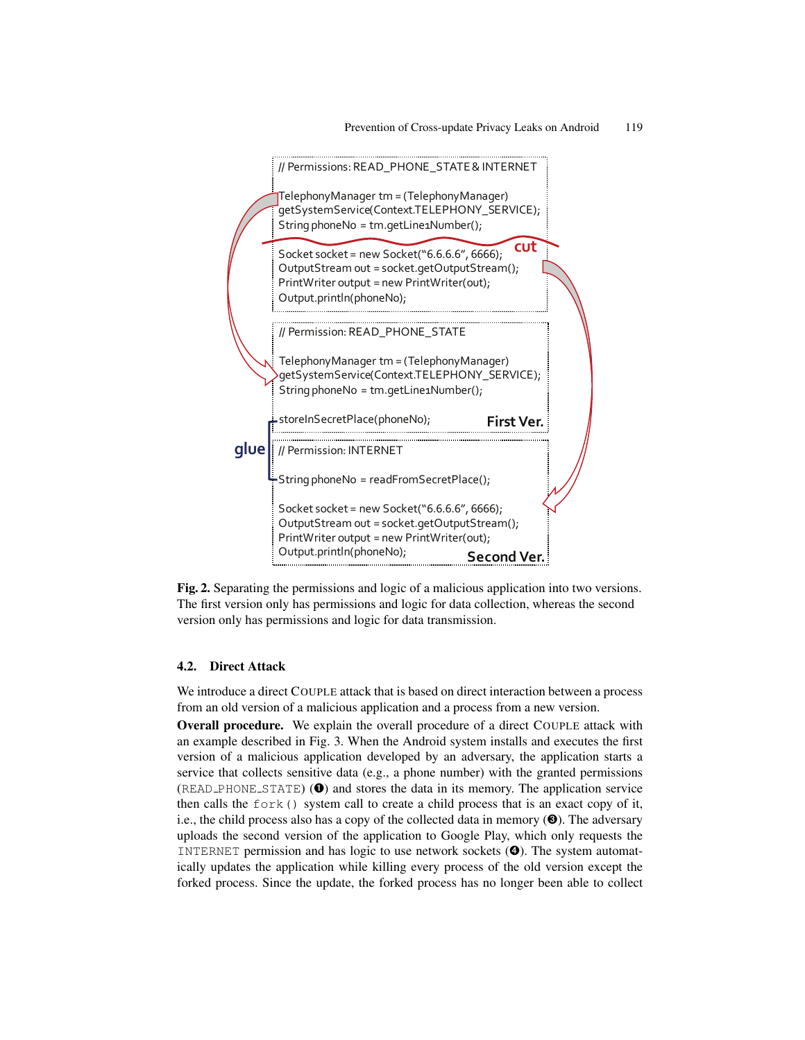

Fig. 2. Separating the permissions and logic of a malicious application into two versions. The first version only has permissions and logic for data collection, whereas the second version only has permissions and logic for data transmission.

### 4.2. Direct Attack

We introduce a direct COUPLE attack that is based on direct interaction between a process from an old version of a malicious application and a process from a new version.

Overall procedure. We explain the overall procedure of a direct COUPLE attack with an example described in Fig. 3. When the Android system installs and executes the first version of a malicious application developed by an adversary, the application starts a service that collects sensitive data (e.g., a phone number) with the granted permissions  $(READ_PHONE_STATE)$  ( $\bullet$ ) and stores the data in its memory. The application service then calls the fork() system call to create a child process that is an exact copy of it, i.e., the child process also has a copy of the collected data in memory  $(\bigcirc)$ . The adversary uploads the second version of the application to Google Play, which only requests the INTERNET permission and has logic to use network sockets (➍). The system automatically updates the application while killing every process of the old version except the forked process. Since the update, the forked process has no longer been able to collect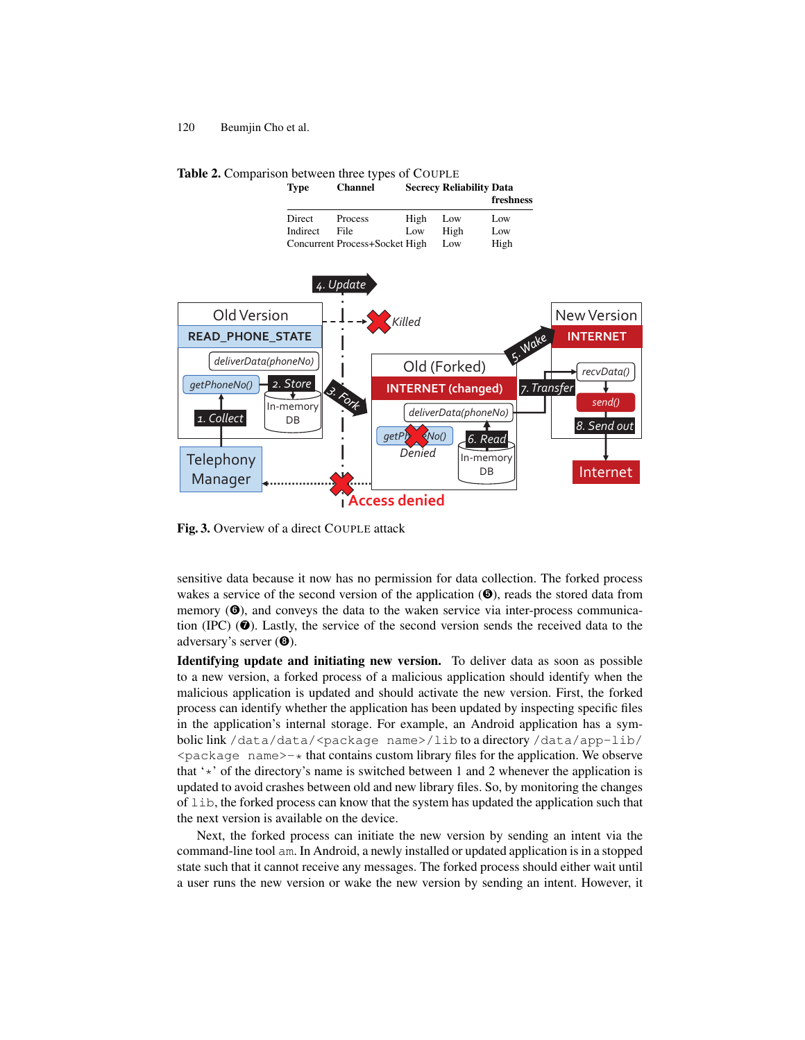Type Channel Secrecy Reliability Data freshness Direct Process High Low Low Indirect File Low High Low<br>Concurrent Process+Socket High Low High Concurrent Process+Socket High **Telephony** Manager *4. Update recvData() send()* Internet *8. Send out* In-memory DB *deliverData(phoneNo) getPh*  $\leq N$ *o()* Old (Forked) **INTERNET (changed)** *Denied 6. Read* **READ\_PHONE\_STATE** In-memory DB *deliverData(phoneNo) getPhoneNo()* Old Version *2. Store 1. Collect* New Version **INTERNET** *7. Transfer* **Access denied** *Killed*

Table 2. Comparison between three types of COUPLE

Fig. 3. Overview of a direct COUPLE attack

sensitive data because it now has no permission for data collection. The forked process wakes a service of the second version of the application  $(\mathbf{\Theta})$ , reads the stored data from memory  $(\mathbf{\Theta})$ , and conveys the data to the waken service via inter-process communication (IPC)  $\left( \circled{e} \right)$ . Lastly, the service of the second version sends the received data to the adversary's server (➑).

Identifying update and initiating new version. To deliver data as soon as possible to a new version, a forked process of a malicious application should identify when the malicious application is updated and should activate the new version. First, the forked process can identify whether the application has been updated by inspecting specific files in the application's internal storage. For example, an Android application has a symbolic link /data/data/<package name>/lib to a directory /data/app-lib/ <package name>-\* that contains custom library files for the application. We observe that ' $\star$ ' of the directory's name is switched between 1 and 2 whenever the application is updated to avoid crashes between old and new library files. So, by monitoring the changes of lib, the forked process can know that the system has updated the application such that the next version is available on the device.

Next, the forked process can initiate the new version by sending an intent via the command-line tool am. In Android, a newly installed or updated application is in a stopped state such that it cannot receive any messages. The forked process should either wait until a user runs the new version or wake the new version by sending an intent. However, it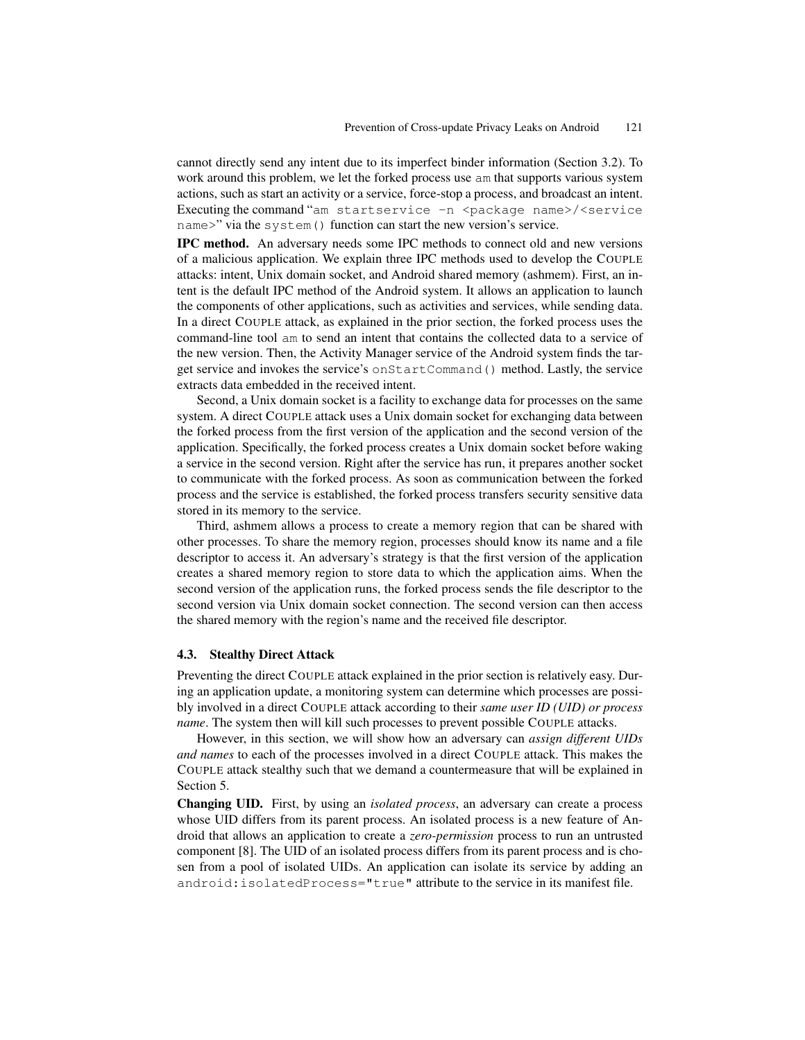cannot directly send any intent due to its imperfect binder information (Section 3.2). To work around this problem, we let the forked process use am that supports various system actions, such as start an activity or a service, force-stop a process, and broadcast an intent. Executing the command "am startservice -n <package name>/<service name>" via the system() function can start the new version's service.

IPC method. An adversary needs some IPC methods to connect old and new versions of a malicious application. We explain three IPC methods used to develop the COUPLE attacks: intent, Unix domain socket, and Android shared memory (ashmem). First, an intent is the default IPC method of the Android system. It allows an application to launch the components of other applications, such as activities and services, while sending data. In a direct COUPLE attack, as explained in the prior section, the forked process uses the command-line tool am to send an intent that contains the collected data to a service of the new version. Then, the Activity Manager service of the Android system finds the target service and invokes the service's onStartCommand() method. Lastly, the service extracts data embedded in the received intent.

Second, a Unix domain socket is a facility to exchange data for processes on the same system. A direct COUPLE attack uses a Unix domain socket for exchanging data between the forked process from the first version of the application and the second version of the application. Specifically, the forked process creates a Unix domain socket before waking a service in the second version. Right after the service has run, it prepares another socket to communicate with the forked process. As soon as communication between the forked process and the service is established, the forked process transfers security sensitive data stored in its memory to the service.

Third, ashmem allows a process to create a memory region that can be shared with other processes. To share the memory region, processes should know its name and a file descriptor to access it. An adversary's strategy is that the first version of the application creates a shared memory region to store data to which the application aims. When the second version of the application runs, the forked process sends the file descriptor to the second version via Unix domain socket connection. The second version can then access the shared memory with the region's name and the received file descriptor.

#### 4.3. Stealthy Direct Attack

Preventing the direct COUPLE attack explained in the prior section is relatively easy. During an application update, a monitoring system can determine which processes are possibly involved in a direct COUPLE attack according to their *same user ID (UID) or process name*. The system then will kill such processes to prevent possible COUPLE attacks.

However, in this section, we will show how an adversary can *assign different UIDs and names* to each of the processes involved in a direct COUPLE attack. This makes the COUPLE attack stealthy such that we demand a countermeasure that will be explained in Section 5.

Changing UID. First, by using an *isolated process*, an adversary can create a process whose UID differs from its parent process. An isolated process is a new feature of Android that allows an application to create a *zero-permission* process to run an untrusted component [8]. The UID of an isolated process differs from its parent process and is chosen from a pool of isolated UIDs. An application can isolate its service by adding an android:isolatedProcess="true" attribute to the service in its manifest file.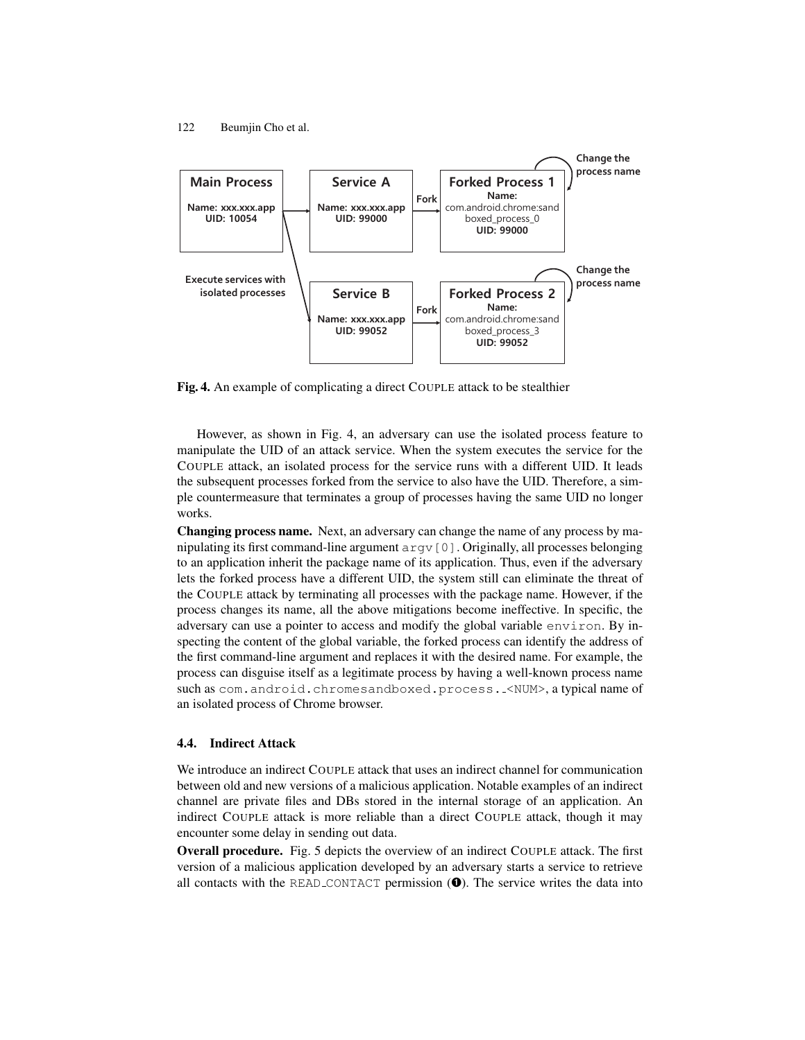

Fig. 4. An example of complicating a direct COUPLE attack to be stealthier

However, as shown in Fig. 4, an adversary can use the isolated process feature to manipulate the UID of an attack service. When the system executes the service for the COUPLE attack, an isolated process for the service runs with a different UID. It leads the subsequent processes forked from the service to also have the UID. Therefore, a simple countermeasure that terminates a group of processes having the same UID no longer works.

Changing process name. Next, an adversary can change the name of any process by manipulating its first command-line argument argv[0]. Originally, all processes belonging to an application inherit the package name of its application. Thus, even if the adversary lets the forked process have a different UID, the system still can eliminate the threat of the COUPLE attack by terminating all processes with the package name. However, if the process changes its name, all the above mitigations become ineffective. In specific, the adversary can use a pointer to access and modify the global variable environ. By inspecting the content of the global variable, the forked process can identify the address of the first command-line argument and replaces it with the desired name. For example, the process can disguise itself as a legitimate process by having a well-known process name such as com.android.chromesandboxed.process. <NUM>, a typical name of an isolated process of Chrome browser.

### 4.4. Indirect Attack

We introduce an indirect COUPLE attack that uses an indirect channel for communication between old and new versions of a malicious application. Notable examples of an indirect channel are private files and DBs stored in the internal storage of an application. An indirect COUPLE attack is more reliable than a direct COUPLE attack, though it may encounter some delay in sending out data.

Overall procedure. Fig. 5 depicts the overview of an indirect COUPLE attack. The first version of a malicious application developed by an adversary starts a service to retrieve all contacts with the READ CONTACT permission  $(\bullet)$ . The service writes the data into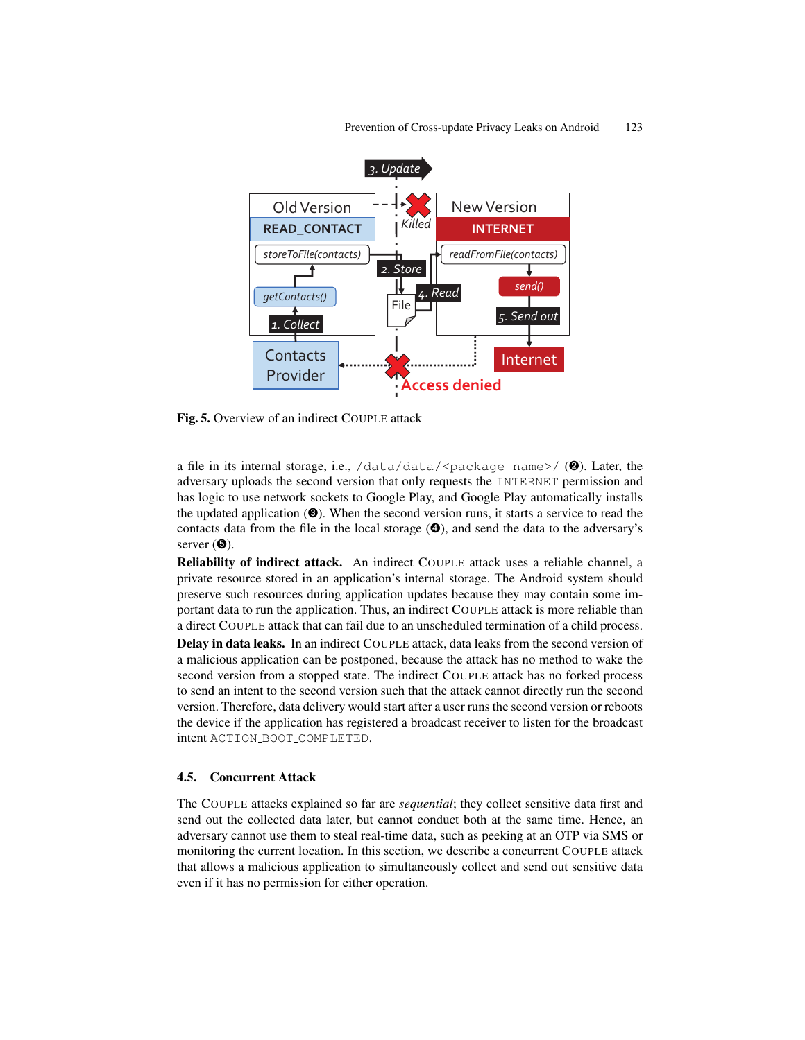

Fig. 5. Overview of an indirect COUPLE attack

a file in its internal storage, i.e.,  $/data/data$ / $\epsilon$ package name>/ (**@**). Later, the adversary uploads the second version that only requests the INTERNET permission and has logic to use network sockets to Google Play, and Google Play automatically installs the updated application  $(\odot)$ . When the second version runs, it starts a service to read the contacts data from the file in the local storage  $\left( \mathbf{\Theta} \right)$ , and send the data to the adversary's server  $(\mathbf{\Theta})$ .

Reliability of indirect attack. An indirect COUPLE attack uses a reliable channel, a private resource stored in an application's internal storage. The Android system should preserve such resources during application updates because they may contain some important data to run the application. Thus, an indirect COUPLE attack is more reliable than a direct COUPLE attack that can fail due to an unscheduled termination of a child process. Delay in data leaks. In an indirect COUPLE attack, data leaks from the second version of a malicious application can be postponed, because the attack has no method to wake the second version from a stopped state. The indirect COUPLE attack has no forked process to send an intent to the second version such that the attack cannot directly run the second version. Therefore, data delivery would start after a user runs the second version or reboots the device if the application has registered a broadcast receiver to listen for the broadcast intent ACTION\_BOOT\_COMPLETED.

### 4.5. Concurrent Attack

The COUPLE attacks explained so far are *sequential*; they collect sensitive data first and send out the collected data later, but cannot conduct both at the same time. Hence, an adversary cannot use them to steal real-time data, such as peeking at an OTP via SMS or monitoring the current location. In this section, we describe a concurrent COUPLE attack that allows a malicious application to simultaneously collect and send out sensitive data even if it has no permission for either operation.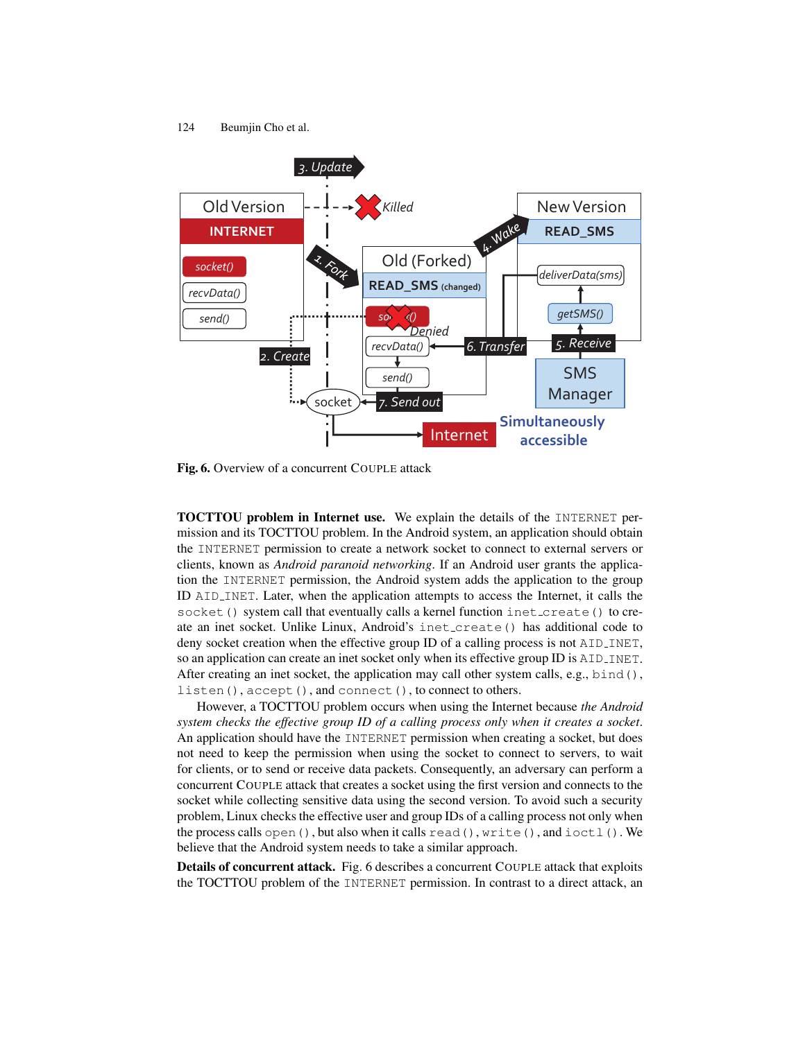

Fig. 6. Overview of a concurrent COUPLE attack

TOCTTOU problem in Internet use. We explain the details of the INTERNET permission and its TOCTTOU problem. In the Android system, an application should obtain the INTERNET permission to create a network socket to connect to external servers or clients, known as *Android paranoid networking*. If an Android user grants the application the INTERNET permission, the Android system adds the application to the group ID AID INET. Later, when the application attempts to access the Internet, it calls the socket() system call that eventually calls a kernel function inet\_create() to create an inet socket. Unlike Linux, Android's inet create() has additional code to deny socket creation when the effective group ID of a calling process is not AID INET, so an application can create an inet socket only when its effective group ID is AID INET. After creating an inet socket, the application may call other system calls, e.g., bind(), listen(), accept(), and connect(), to connect to others.

However, a TOCTTOU problem occurs when using the Internet because *the Android system checks the effective group ID of a calling process only when it creates a socket*. An application should have the INTERNET permission when creating a socket, but does not need to keep the permission when using the socket to connect to servers, to wait for clients, or to send or receive data packets. Consequently, an adversary can perform a concurrent COUPLE attack that creates a socket using the first version and connects to the socket while collecting sensitive data using the second version. To avoid such a security problem, Linux checks the effective user and group IDs of a calling process not only when the process calls open(), but also when it calls read(), write(), and ioctl(). We believe that the Android system needs to take a similar approach.

Details of concurrent attack. Fig. 6 describes a concurrent COUPLE attack that exploits the TOCTTOU problem of the INTERNET permission. In contrast to a direct attack, an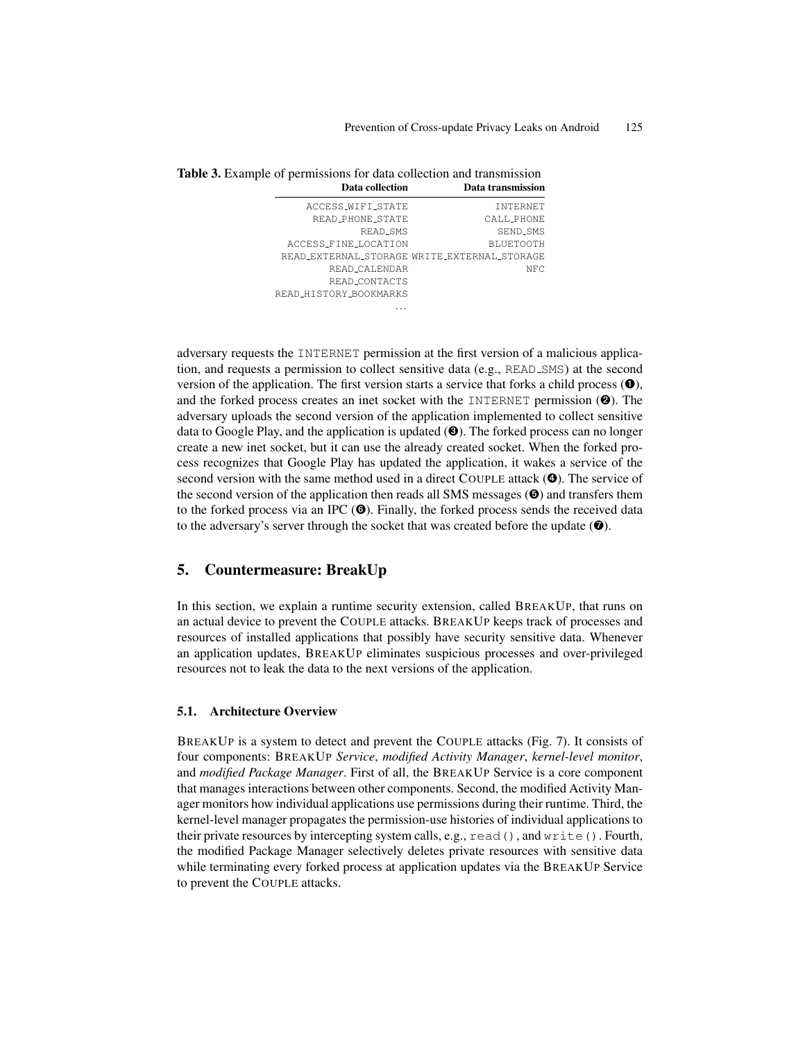| 3. Example of permissions for data collection and transmission |                        |                                              |  |
|----------------------------------------------------------------|------------------------|----------------------------------------------|--|
|                                                                | Data collection        | Data transmission                            |  |
|                                                                | ACCESS_WIFI_STATE      | <b>TNTERNET</b>                              |  |
|                                                                | READ_PHONE_STATE       | CALL_PHONE                                   |  |
|                                                                | READ_SMS               | SEND_SMS                                     |  |
|                                                                | ACCESS_FINE_LOCATION   | <b>BLUETOOTH</b>                             |  |
|                                                                |                        | READ_EXTERNAL_STORAGE_WRITE_EXTERNAL_STORAGE |  |
|                                                                | READ_CALENDAR          | NFC                                          |  |
|                                                                | READ_CONTACTS          |                                              |  |
|                                                                | READ_HISTORY_BOOKMARKS |                                              |  |

Table 3. F

adversary requests the INTERNET permission at the first version of a malicious application, and requests a permission to collect sensitive data (e.g., READ\_SMS) at the second version of the application. The first version starts a service that forks a child process  $(①)$ , and the forked process creates an inet socket with the INTERNET permission  $(②)$ . The adversary uploads the second version of the application implemented to collect sensitive data to Google Play, and the application is updated (➌). The forked process can no longer create a new inet socket, but it can use the already created socket. When the forked process recognizes that Google Play has updated the application, it wakes a service of the second version with the same method used in a direct COUPLE attack ( $\bullet$ ). The service of the second version of the application then reads all SMS messages  $(\mathbf{\Theta})$  and transfers them to the forked process via an IPC  $(\odot)$ . Finally, the forked process sends the received data to the adversary's server through the socket that was created before the update  $(\bullet)$ .

. . .

# 5. Countermeasure: BreakUp

In this section, we explain a runtime security extension, called BREAKUP, that runs on an actual device to prevent the COUPLE attacks. BREAKUP keeps track of processes and resources of installed applications that possibly have security sensitive data. Whenever an application updates, BREAKUP eliminates suspicious processes and over-privileged resources not to leak the data to the next versions of the application.

#### 5.1. Architecture Overview

BREAKUP is a system to detect and prevent the COUPLE attacks (Fig. 7). It consists of four components: BREAKUP *Service*, *modified Activity Manager*, *kernel-level monitor*, and *modified Package Manager*. First of all, the BREAKUP Service is a core component that manages interactions between other components. Second, the modified Activity Manager monitors how individual applications use permissions during their runtime. Third, the kernel-level manager propagates the permission-use histories of individual applications to their private resources by intercepting system calls, e.g.,  $read()$ , and  $write()$ . Fourth, the modified Package Manager selectively deletes private resources with sensitive data while terminating every forked process at application updates via the BREAKUP Service to prevent the COUPLE attacks.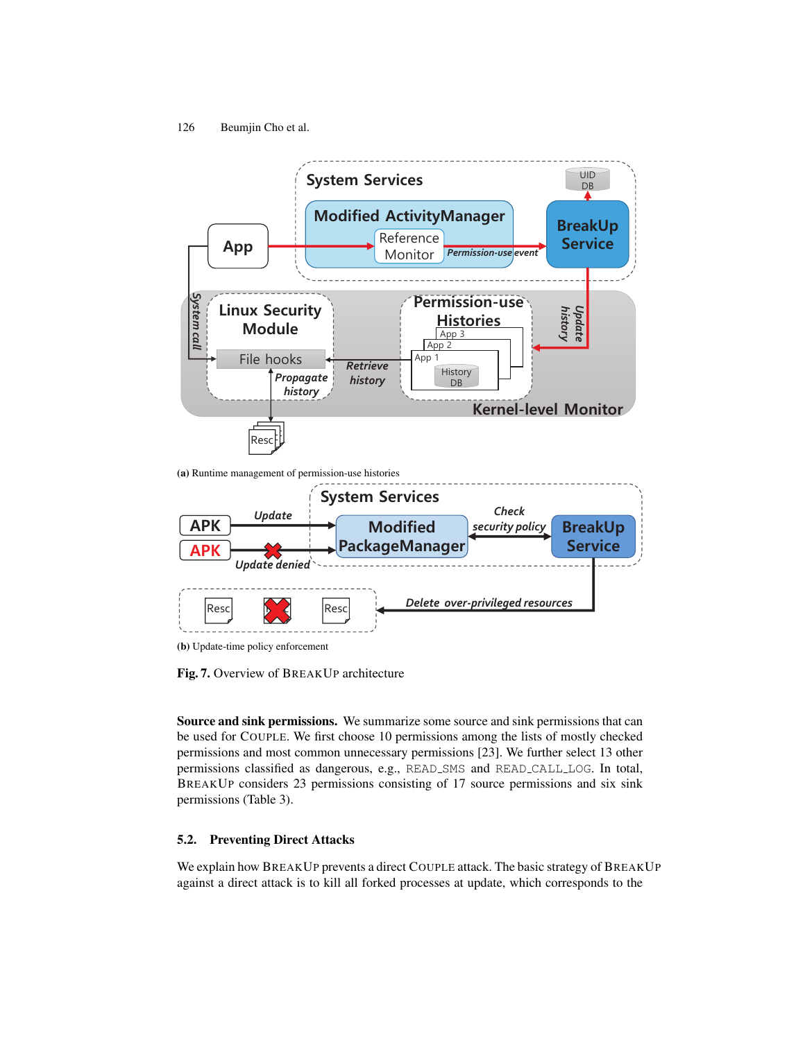

(a) Runtime management of permission-use histories



(b) Update-time policy enforcement

Fig. 7. Overview of BREAKUP architecture

Source and sink permissions. We summarize some source and sink permissions that can be used for COUPLE. We first choose 10 permissions among the lists of mostly checked permissions and most common unnecessary permissions [23]. We further select 13 other permissions classified as dangerous, e.g., READ SMS and READ CALL LOG. In total, BREAKUP considers 23 permissions consisting of 17 source permissions and six sink permissions (Table 3).

### 5.2. Preventing Direct Attacks

We explain how BREAKUP prevents a direct COUPLE attack. The basic strategy of BREAKUP against a direct attack is to kill all forked processes at update, which corresponds to the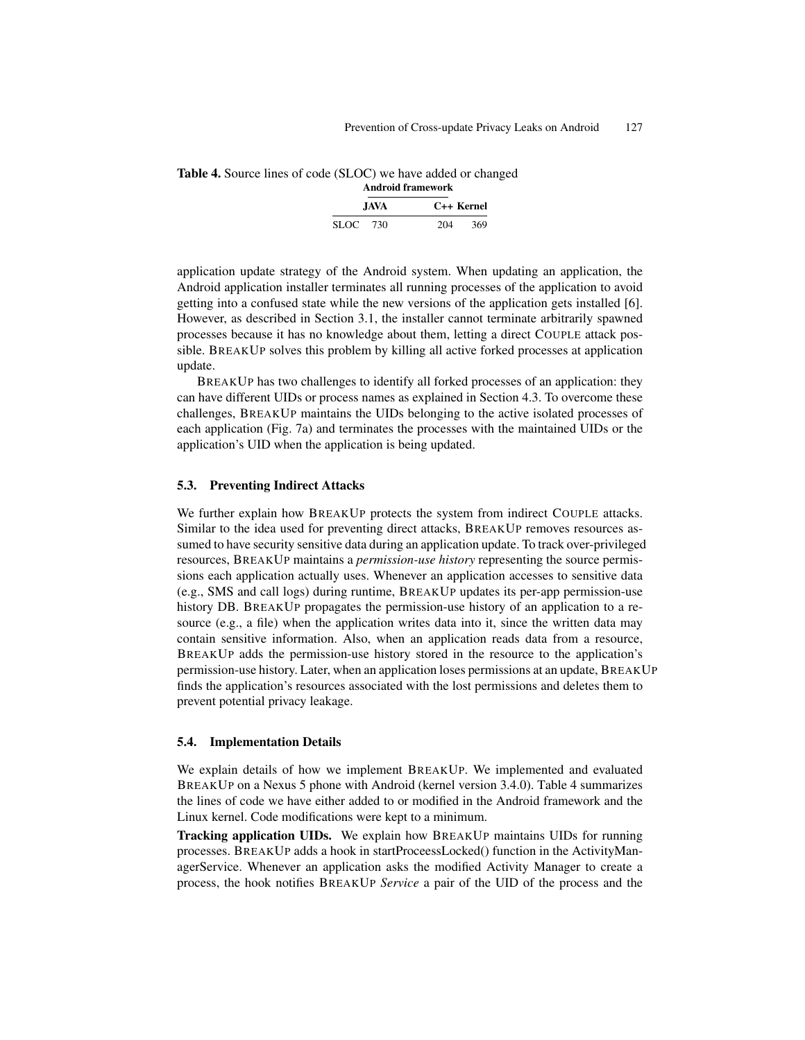| Table 4. Source lines of code (SLOC) we have added or changed |                    |  |
|---------------------------------------------------------------|--------------------|--|
|                                                               | Andrett Commenced. |  |

| Анигоні пашейога |       |     |            |
|------------------|-------|-----|------------|
|                  | JAVA. |     | C++ Kernel |
| SLOC 730         |       | 204 | 369        |

application update strategy of the Android system. When updating an application, the Android application installer terminates all running processes of the application to avoid getting into a confused state while the new versions of the application gets installed [6]. However, as described in Section 3.1, the installer cannot terminate arbitrarily spawned processes because it has no knowledge about them, letting a direct COUPLE attack possible. BREAKUP solves this problem by killing all active forked processes at application update.

BREAKUP has two challenges to identify all forked processes of an application: they can have different UIDs or process names as explained in Section 4.3. To overcome these challenges, BREAKUP maintains the UIDs belonging to the active isolated processes of each application (Fig. 7a) and terminates the processes with the maintained UIDs or the application's UID when the application is being updated.

#### 5.3. Preventing Indirect Attacks

We further explain how BREAKUP protects the system from indirect COUPLE attacks. Similar to the idea used for preventing direct attacks, BREAKUP removes resources assumed to have security sensitive data during an application update. To track over-privileged resources, BREAKUP maintains a *permission-use history* representing the source permissions each application actually uses. Whenever an application accesses to sensitive data (e.g., SMS and call logs) during runtime, BREAKUP updates its per-app permission-use history DB. BREAKUP propagates the permission-use history of an application to a resource (e.g., a file) when the application writes data into it, since the written data may contain sensitive information. Also, when an application reads data from a resource, BREAKUP adds the permission-use history stored in the resource to the application's permission-use history. Later, when an application loses permissions at an update, BREAKUP finds the application's resources associated with the lost permissions and deletes them to prevent potential privacy leakage.

#### 5.4. Implementation Details

We explain details of how we implement BREAKUP. We implemented and evaluated BREAKUP on a Nexus 5 phone with Android (kernel version 3.4.0). Table 4 summarizes the lines of code we have either added to or modified in the Android framework and the Linux kernel. Code modifications were kept to a minimum.

Tracking application UIDs. We explain how BREAKUP maintains UIDs for running processes. BREAKUP adds a hook in startProceessLocked() function in the ActivityManagerService. Whenever an application asks the modified Activity Manager to create a process, the hook notifies BREAKUP *Service* a pair of the UID of the process and the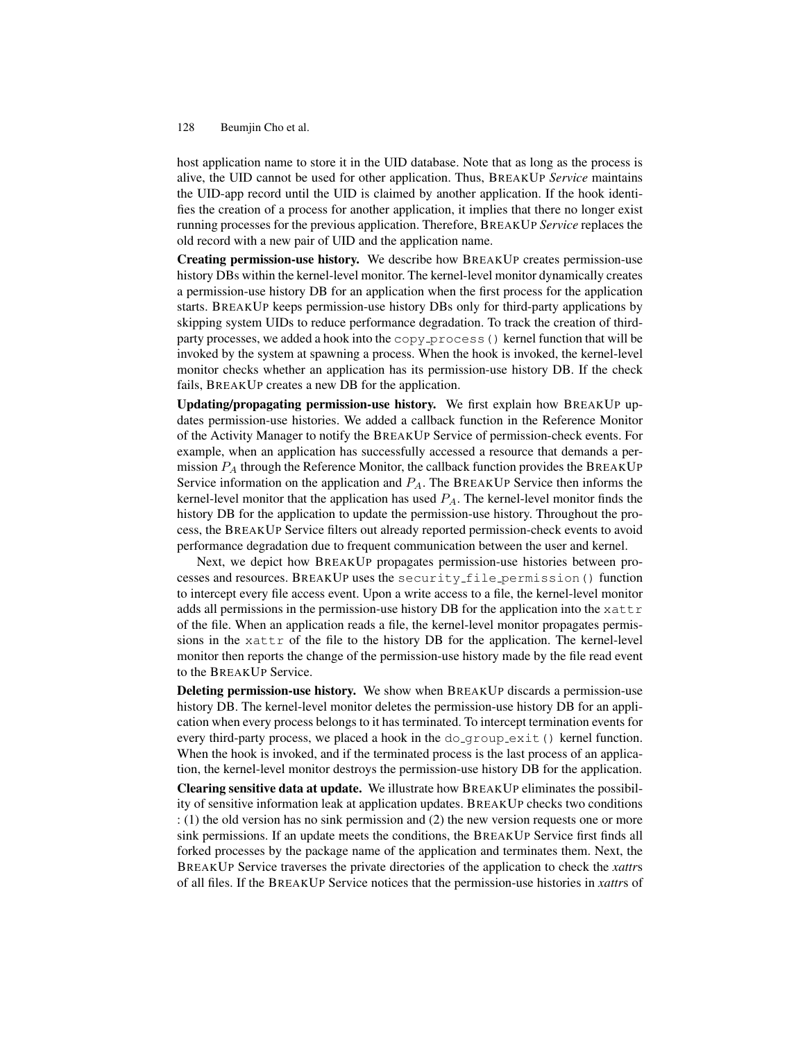host application name to store it in the UID database. Note that as long as the process is alive, the UID cannot be used for other application. Thus, BREAKUP *Service* maintains the UID-app record until the UID is claimed by another application. If the hook identifies the creation of a process for another application, it implies that there no longer exist running processes for the previous application. Therefore, BREAKUP *Service* replaces the old record with a new pair of UID and the application name.

Creating permission-use history. We describe how BREAKUP creates permission-use history DBs within the kernel-level monitor. The kernel-level monitor dynamically creates a permission-use history DB for an application when the first process for the application starts. BREAKUP keeps permission-use history DBs only for third-party applications by skipping system UIDs to reduce performance degradation. To track the creation of thirdparty processes, we added a hook into the copy process () kernel function that will be invoked by the system at spawning a process. When the hook is invoked, the kernel-level monitor checks whether an application has its permission-use history DB. If the check fails, BREAKUP creates a new DB for the application.

Updating/propagating permission-use history. We first explain how BREAKUP updates permission-use histories. We added a callback function in the Reference Monitor of the Activity Manager to notify the BREAKUP Service of permission-check events. For example, when an application has successfully accessed a resource that demands a permission  $P_A$  through the Reference Monitor, the callback function provides the BREAKUP Service information on the application and  $P_A$ . The BREAKUP Service then informs the kernel-level monitor that the application has used  $P_A$ . The kernel-level monitor finds the history DB for the application to update the permission-use history. Throughout the process, the BREAKUP Service filters out already reported permission-check events to avoid performance degradation due to frequent communication between the user and kernel.

Next, we depict how BREAKUP propagates permission-use histories between processes and resources. BREAKUP uses the security file permission() function to intercept every file access event. Upon a write access to a file, the kernel-level monitor adds all permissions in the permission-use history DB for the application into the  $x$ attr of the file. When an application reads a file, the kernel-level monitor propagates permissions in the  $x \text{attr}$  of the file to the history DB for the application. The kernel-level monitor then reports the change of the permission-use history made by the file read event to the BREAKUP Service.

Deleting permission-use history. We show when BREAKUP discards a permission-use history DB. The kernel-level monitor deletes the permission-use history DB for an application when every process belongs to it has terminated. To intercept termination events for every third-party process, we placed a hook in the  $\text{do\_group\_exit}$  () kernel function. When the hook is invoked, and if the terminated process is the last process of an application, the kernel-level monitor destroys the permission-use history DB for the application.

Clearing sensitive data at update. We illustrate how BREAKUP eliminates the possibility of sensitive information leak at application updates. BREAKUP checks two conditions : (1) the old version has no sink permission and (2) the new version requests one or more sink permissions. If an update meets the conditions, the BREAKUP Service first finds all forked processes by the package name of the application and terminates them. Next, the BREAKUP Service traverses the private directories of the application to check the *xattr*s of all files. If the BREAKUP Service notices that the permission-use histories in *xattr*s of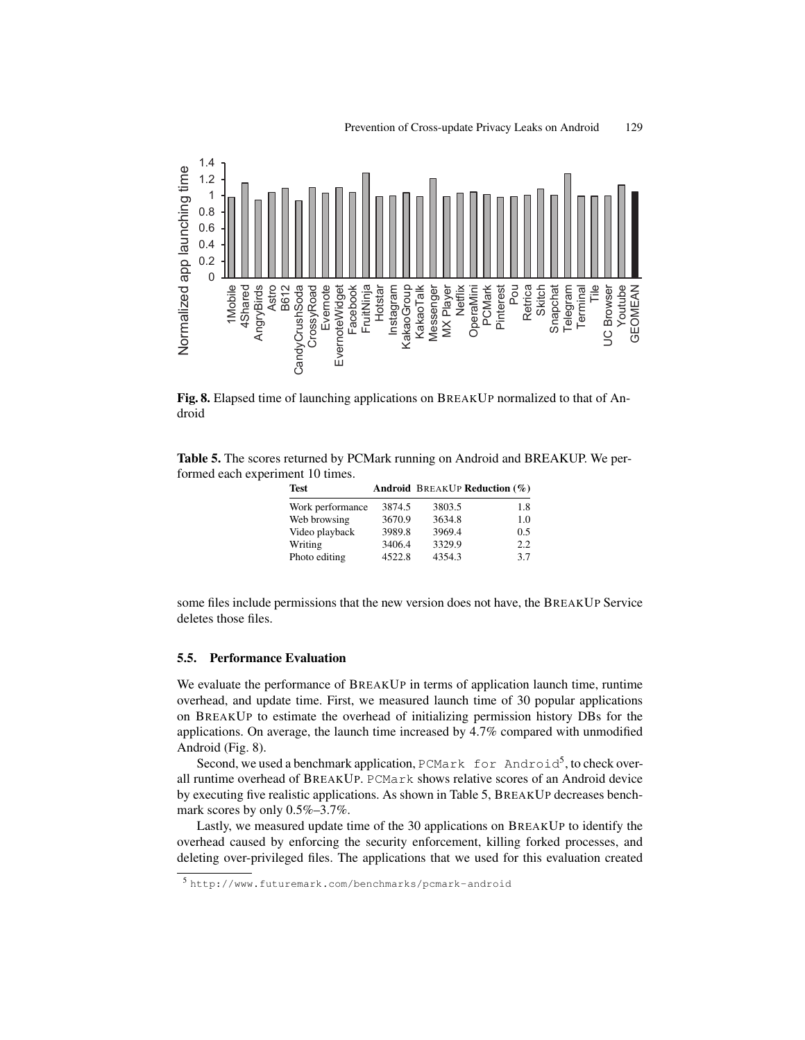

Fig. 8. Elapsed time of launching applications on BREAKUP normalized to that of Android

Table 5. The scores returned by PCMark running on Android and BREAKUP. We performed each experiment 10 times.

| Test             |        |        | <b>Android BREAKUP Reduction (%)</b> |
|------------------|--------|--------|--------------------------------------|
| Work performance | 3874.5 | 3803.5 | 1.8                                  |
| Web browsing     | 3670.9 | 3634.8 | 1.0                                  |
| Video playback   | 3989.8 | 3969.4 | 0.5                                  |
| Writing          | 3406.4 | 3329.9 | 2.2                                  |
| Photo editing    | 4522.8 | 4354.3 | 3.7                                  |

some files include permissions that the new version does not have, the BREAKUP Service deletes those files.

#### 5.5. Performance Evaluation

We evaluate the performance of BREAKUP in terms of application launch time, runtime overhead, and update time. First, we measured launch time of 30 popular applications on BREAKUP to estimate the overhead of initializing permission history DBs for the applications. On average, the launch time increased by 4.7% compared with unmodified Android (Fig. 8).

Second, we used a benchmark application, PCMark for Android<sup>5</sup>, to check overall runtime overhead of BREAKUP. PCMark shows relative scores of an Android device by executing five realistic applications. As shown in Table 5, BREAKUP decreases benchmark scores by only 0.5%–3.7%.

Lastly, we measured update time of the 30 applications on BREAKUP to identify the overhead caused by enforcing the security enforcement, killing forked processes, and deleting over-privileged files. The applications that we used for this evaluation created

<sup>5</sup> http://www.futuremark.com/benchmarks/pcmark-android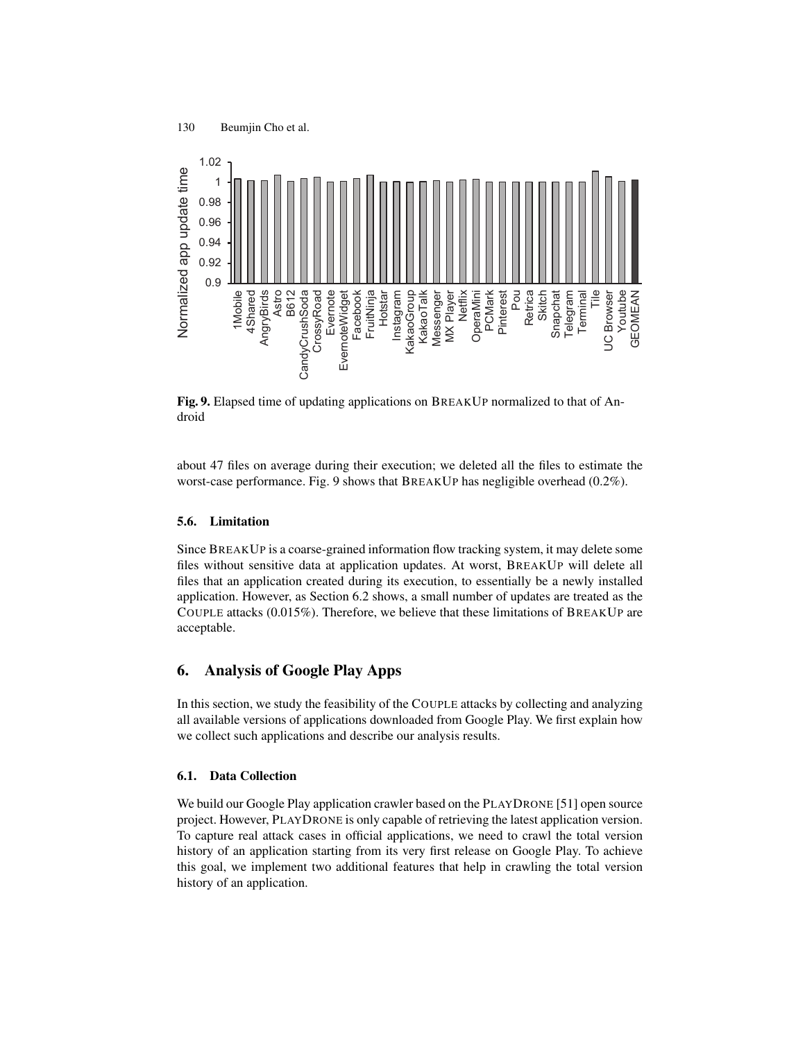

Fig. 9. Elapsed time of updating applications on BREAKUP normalized to that of Android

about 47 files on average during their execution; we deleted all the files to estimate the worst-case performance. Fig. 9 shows that BREAKUP has negligible overhead (0.2%).

### 5.6. Limitation

Since BREAKUP is a coarse-grained information flow tracking system, it may delete some files without sensitive data at application updates. At worst, BREAKUP will delete all files that an application created during its execution, to essentially be a newly installed application. However, as Section 6.2 shows, a small number of updates are treated as the COUPLE attacks (0.015%). Therefore, we believe that these limitations of BREAKUP are acceptable.

# 6. Analysis of Google Play Apps

In this section, we study the feasibility of the COUPLE attacks by collecting and analyzing all available versions of applications downloaded from Google Play. We first explain how we collect such applications and describe our analysis results.

#### 6.1. Data Collection

We build our Google Play application crawler based on the PLAYDRONE [51] open source project. However, PLAYDRONE is only capable of retrieving the latest application version. To capture real attack cases in official applications, we need to crawl the total version history of an application starting from its very first release on Google Play. To achieve this goal, we implement two additional features that help in crawling the total version history of an application.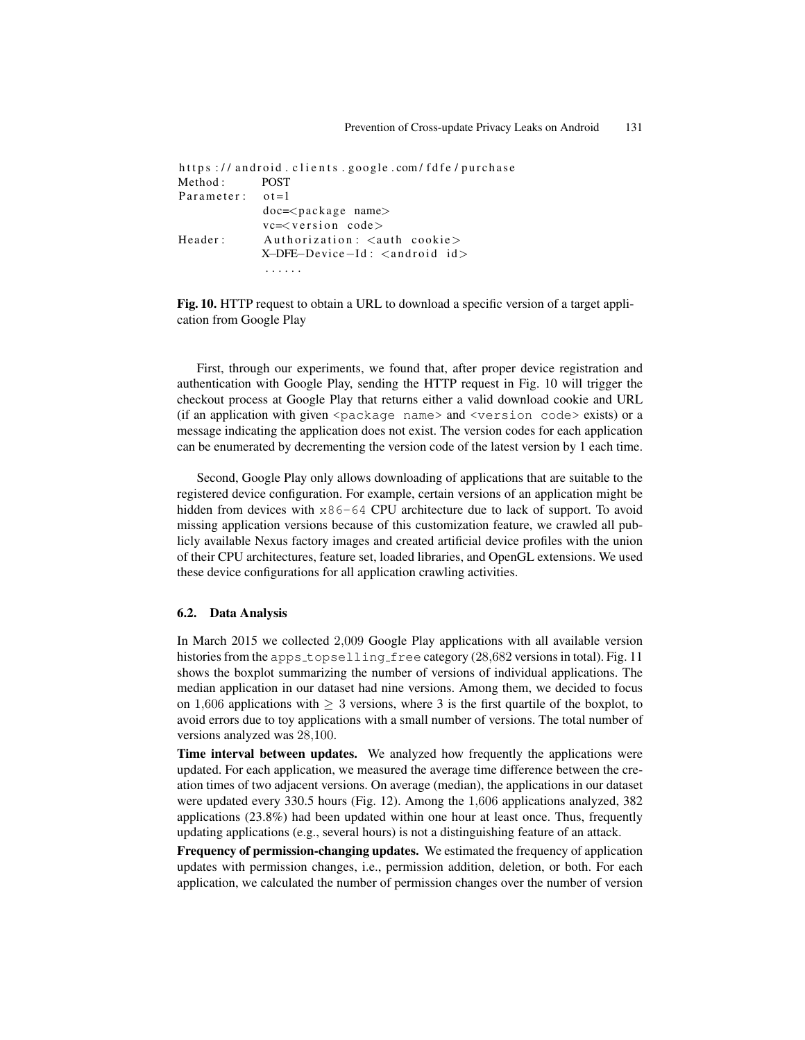```
https://android.clients.google.com/fdfe/purchase
Method: POST
Parameter: ot = 1doc=<package name>
           vc=<version code>
Header: Authorization: <auth cookie>
           X-DFE-Device-Id: <android id>
```
Fig. 10. HTTP request to obtain a URL to download a specific version of a target application from Google Play

First, through our experiments, we found that, after proper device registration and authentication with Google Play, sending the HTTP request in Fig. 10 will trigger the checkout process at Google Play that returns either a valid download cookie and URL (if an application with given  $\epsilon$  package name> and  $\epsilon$  version code> exists) or a message indicating the application does not exist. The version codes for each application can be enumerated by decrementing the version code of the latest version by 1 each time.

Second, Google Play only allows downloading of applications that are suitable to the registered device configuration. For example, certain versions of an application might be hidden from devices with  $x86-64$  CPU architecture due to lack of support. To avoid missing application versions because of this customization feature, we crawled all publicly available Nexus factory images and created artificial device profiles with the union of their CPU architectures, feature set, loaded libraries, and OpenGL extensions. We used these device configurations for all application crawling activities.

### 6.2. Data Analysis

In March 2015 we collected 2,009 Google Play applications with all available version histories from the apps\_topselling\_free category (28,682 versions in total). Fig. 11 shows the boxplot summarizing the number of versions of individual applications. The median application in our dataset had nine versions. Among them, we decided to focus on 1,606 applications with  $> 3$  versions, where 3 is the first quartile of the boxplot, to avoid errors due to toy applications with a small number of versions. The total number of versions analyzed was 28,100.

Time interval between updates. We analyzed how frequently the applications were updated. For each application, we measured the average time difference between the creation times of two adjacent versions. On average (median), the applications in our dataset were updated every 330.5 hours (Fig. 12). Among the 1,606 applications analyzed, 382 applications (23.8%) had been updated within one hour at least once. Thus, frequently updating applications (e.g., several hours) is not a distinguishing feature of an attack.

Frequency of permission-changing updates. We estimated the frequency of application updates with permission changes, i.e., permission addition, deletion, or both. For each application, we calculated the number of permission changes over the number of version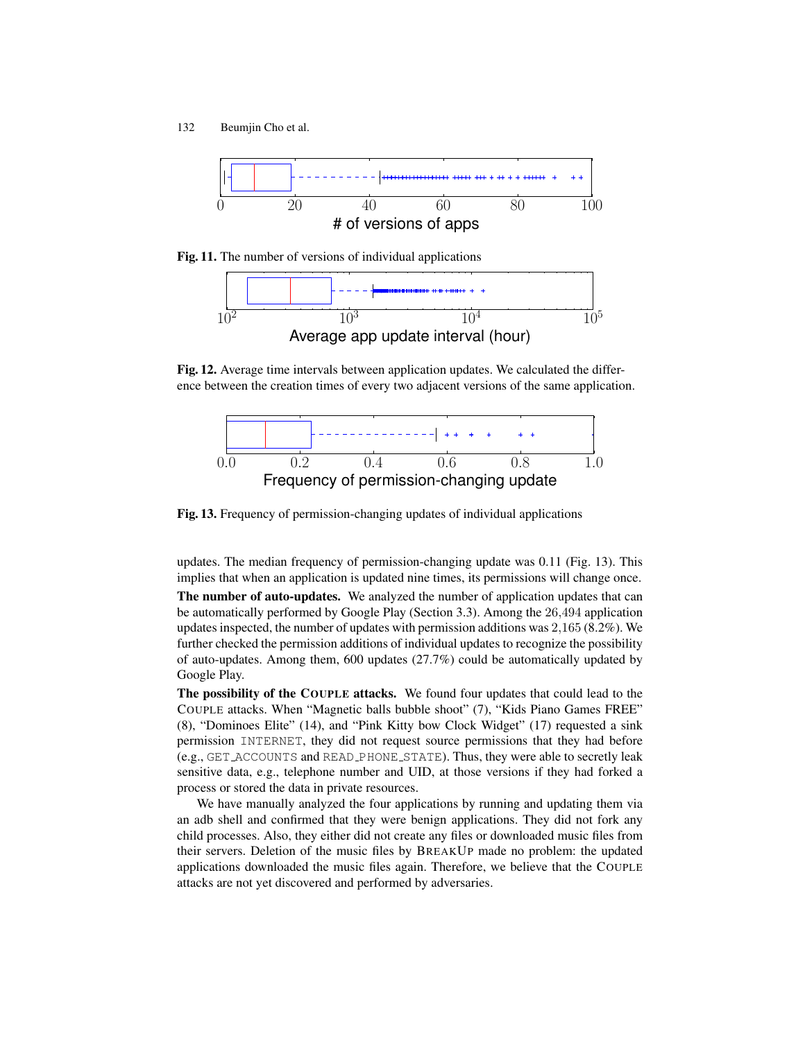

Fig. 11. The number of versions of individual applications



Fig. 12. Average time intervals between application updates. We calculated the difference between the creation times of every two adjacent versions of the same application.



Fig. 13. Frequency of permission-changing updates of individual applications

updates. The median frequency of permission-changing update was 0.11 (Fig. 13). This implies that when an application is updated nine times, its permissions will change once.

The number of auto-updates. We analyzed the number of application updates that can be automatically performed by Google Play (Section 3.3). Among the 26,494 application updates inspected, the number of updates with permission additions was 2,165 (8.2%). We further checked the permission additions of individual updates to recognize the possibility of auto-updates. Among them, 600 updates (27.7%) could be automatically updated by Google Play.

The possibility of the COUPLE attacks. We found four updates that could lead to the COUPLE attacks. When "Magnetic balls bubble shoot" (7), "Kids Piano Games FREE" (8), "Dominoes Elite" (14), and "Pink Kitty bow Clock Widget" (17) requested a sink permission INTERNET, they did not request source permissions that they had before (e.g., GET ACCOUNTS and READ PHONE STATE). Thus, they were able to secretly leak sensitive data, e.g., telephone number and UID, at those versions if they had forked a process or stored the data in private resources.

We have manually analyzed the four applications by running and updating them via an adb shell and confirmed that they were benign applications. They did not fork any child processes. Also, they either did not create any files or downloaded music files from their servers. Deletion of the music files by BREAKUP made no problem: the updated applications downloaded the music files again. Therefore, we believe that the COUPLE attacks are not yet discovered and performed by adversaries.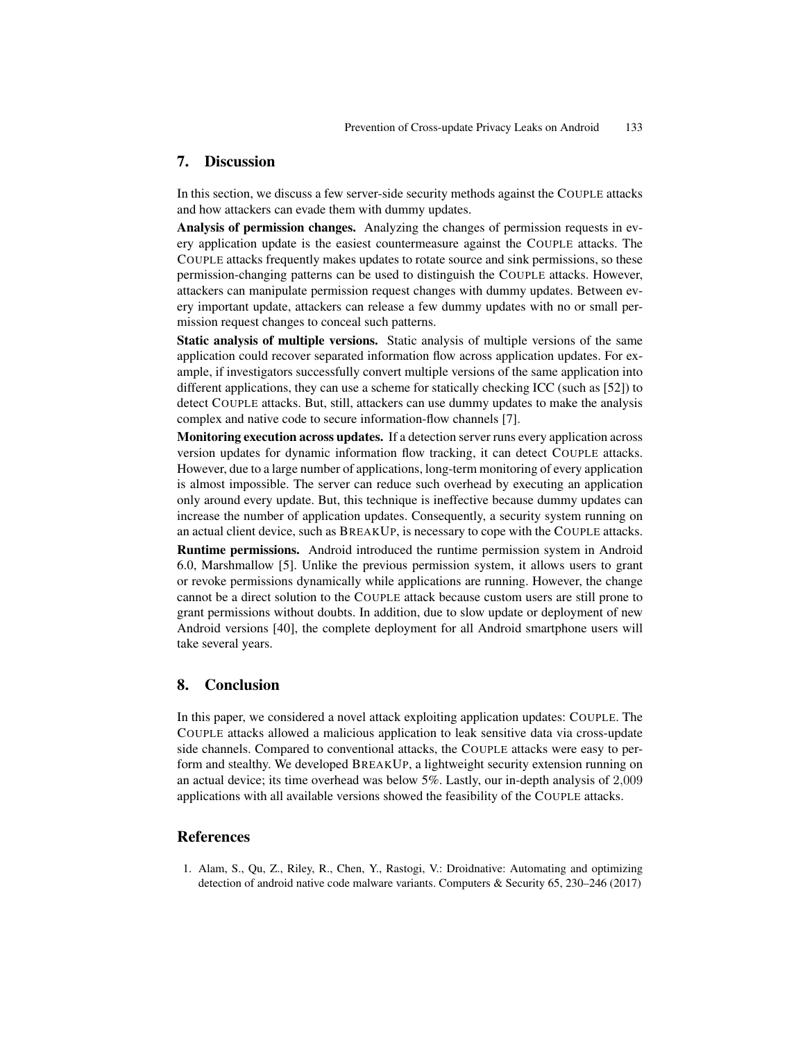## 7. Discussion

In this section, we discuss a few server-side security methods against the COUPLE attacks and how attackers can evade them with dummy updates.

Analysis of permission changes. Analyzing the changes of permission requests in every application update is the easiest countermeasure against the COUPLE attacks. The COUPLE attacks frequently makes updates to rotate source and sink permissions, so these permission-changing patterns can be used to distinguish the COUPLE attacks. However, attackers can manipulate permission request changes with dummy updates. Between every important update, attackers can release a few dummy updates with no or small permission request changes to conceal such patterns.

Static analysis of multiple versions. Static analysis of multiple versions of the same application could recover separated information flow across application updates. For example, if investigators successfully convert multiple versions of the same application into different applications, they can use a scheme for statically checking ICC (such as [52]) to detect COUPLE attacks. But, still, attackers can use dummy updates to make the analysis complex and native code to secure information-flow channels [7].

Monitoring execution across updates. If a detection server runs every application across version updates for dynamic information flow tracking, it can detect COUPLE attacks. However, due to a large number of applications, long-term monitoring of every application is almost impossible. The server can reduce such overhead by executing an application only around every update. But, this technique is ineffective because dummy updates can increase the number of application updates. Consequently, a security system running on an actual client device, such as BREAKUP, is necessary to cope with the COUPLE attacks.

Runtime permissions. Android introduced the runtime permission system in Android 6.0, Marshmallow [5]. Unlike the previous permission system, it allows users to grant or revoke permissions dynamically while applications are running. However, the change cannot be a direct solution to the COUPLE attack because custom users are still prone to grant permissions without doubts. In addition, due to slow update or deployment of new Android versions [40], the complete deployment for all Android smartphone users will take several years.

### 8. Conclusion

In this paper, we considered a novel attack exploiting application updates: COUPLE. The COUPLE attacks allowed a malicious application to leak sensitive data via cross-update side channels. Compared to conventional attacks, the COUPLE attacks were easy to perform and stealthy. We developed BREAKUP, a lightweight security extension running on an actual device; its time overhead was below 5%. Lastly, our in-depth analysis of 2,009 applications with all available versions showed the feasibility of the COUPLE attacks.

# References

1. Alam, S., Qu, Z., Riley, R., Chen, Y., Rastogi, V.: Droidnative: Automating and optimizing detection of android native code malware variants. Computers & Security 65, 230–246 (2017)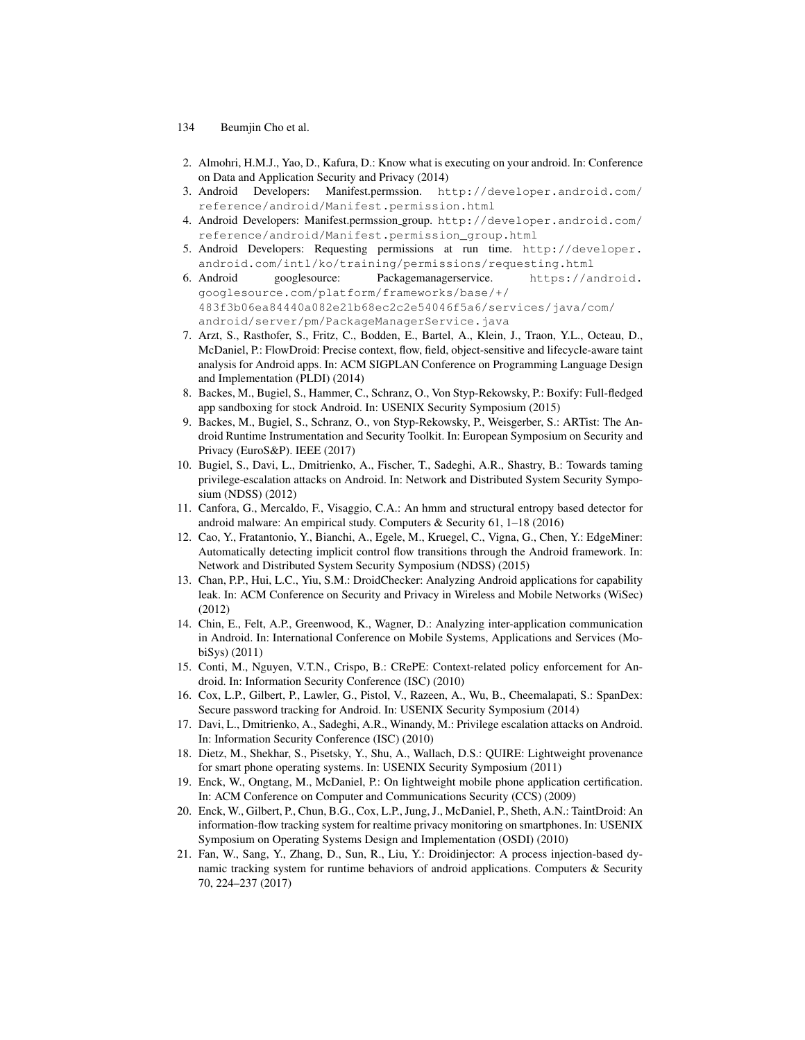- 134 Beumjin Cho et al.
- 2. Almohri, H.M.J., Yao, D., Kafura, D.: Know what is executing on your android. In: Conference on Data and Application Security and Privacy (2014)
- 3. Android Developers: Manifest.permssion. http://developer.android.com/ reference/android/Manifest.permission.html
- 4. Android Developers: Manifest.permssion group. http://developer.android.com/ reference/android/Manifest.permission\_group.html
- 5. Android Developers: Requesting permissions at run time. http://developer. android.com/intl/ko/training/permissions/requesting.html
- 6. Android googlesource: Packagemanagerservice. https://android. googlesource.com/platform/frameworks/base/+/ 483f3b06ea84440a082e21b68ec2c2e54046f5a6/services/java/com/ android/server/pm/PackageManagerService.java
- 7. Arzt, S., Rasthofer, S., Fritz, C., Bodden, E., Bartel, A., Klein, J., Traon, Y.L., Octeau, D., McDaniel, P.: FlowDroid: Precise context, flow, field, object-sensitive and lifecycle-aware taint analysis for Android apps. In: ACM SIGPLAN Conference on Programming Language Design and Implementation (PLDI) (2014)
- 8. Backes, M., Bugiel, S., Hammer, C., Schranz, O., Von Styp-Rekowsky, P.: Boxify: Full-fledged app sandboxing for stock Android. In: USENIX Security Symposium (2015)
- 9. Backes, M., Bugiel, S., Schranz, O., von Styp-Rekowsky, P., Weisgerber, S.: ARTist: The Android Runtime Instrumentation and Security Toolkit. In: European Symposium on Security and Privacy (EuroS&P). IEEE (2017)
- 10. Bugiel, S., Davi, L., Dmitrienko, A., Fischer, T., Sadeghi, A.R., Shastry, B.: Towards taming privilege-escalation attacks on Android. In: Network and Distributed System Security Symposium (NDSS) (2012)
- 11. Canfora, G., Mercaldo, F., Visaggio, C.A.: An hmm and structural entropy based detector for android malware: An empirical study. Computers & Security 61, 1–18 (2016)
- 12. Cao, Y., Fratantonio, Y., Bianchi, A., Egele, M., Kruegel, C., Vigna, G., Chen, Y.: EdgeMiner: Automatically detecting implicit control flow transitions through the Android framework. In: Network and Distributed System Security Symposium (NDSS) (2015)
- 13. Chan, P.P., Hui, L.C., Yiu, S.M.: DroidChecker: Analyzing Android applications for capability leak. In: ACM Conference on Security and Privacy in Wireless and Mobile Networks (WiSec) (2012)
- 14. Chin, E., Felt, A.P., Greenwood, K., Wagner, D.: Analyzing inter-application communication in Android. In: International Conference on Mobile Systems, Applications and Services (MobiSys) (2011)
- 15. Conti, M., Nguyen, V.T.N., Crispo, B.: CRePE: Context-related policy enforcement for Android. In: Information Security Conference (ISC) (2010)
- 16. Cox, L.P., Gilbert, P., Lawler, G., Pistol, V., Razeen, A., Wu, B., Cheemalapati, S.: SpanDex: Secure password tracking for Android. In: USENIX Security Symposium (2014)
- 17. Davi, L., Dmitrienko, A., Sadeghi, A.R., Winandy, M.: Privilege escalation attacks on Android. In: Information Security Conference (ISC) (2010)
- 18. Dietz, M., Shekhar, S., Pisetsky, Y., Shu, A., Wallach, D.S.: QUIRE: Lightweight provenance for smart phone operating systems. In: USENIX Security Symposium (2011)
- 19. Enck, W., Ongtang, M., McDaniel, P.: On lightweight mobile phone application certification. In: ACM Conference on Computer and Communications Security (CCS) (2009)
- 20. Enck, W., Gilbert, P., Chun, B.G., Cox, L.P., Jung, J., McDaniel, P., Sheth, A.N.: TaintDroid: An information-flow tracking system for realtime privacy monitoring on smartphones. In: USENIX Symposium on Operating Systems Design and Implementation (OSDI) (2010)
- 21. Fan, W., Sang, Y., Zhang, D., Sun, R., Liu, Y.: Droidinjector: A process injection-based dynamic tracking system for runtime behaviors of android applications. Computers & Security 70, 224–237 (2017)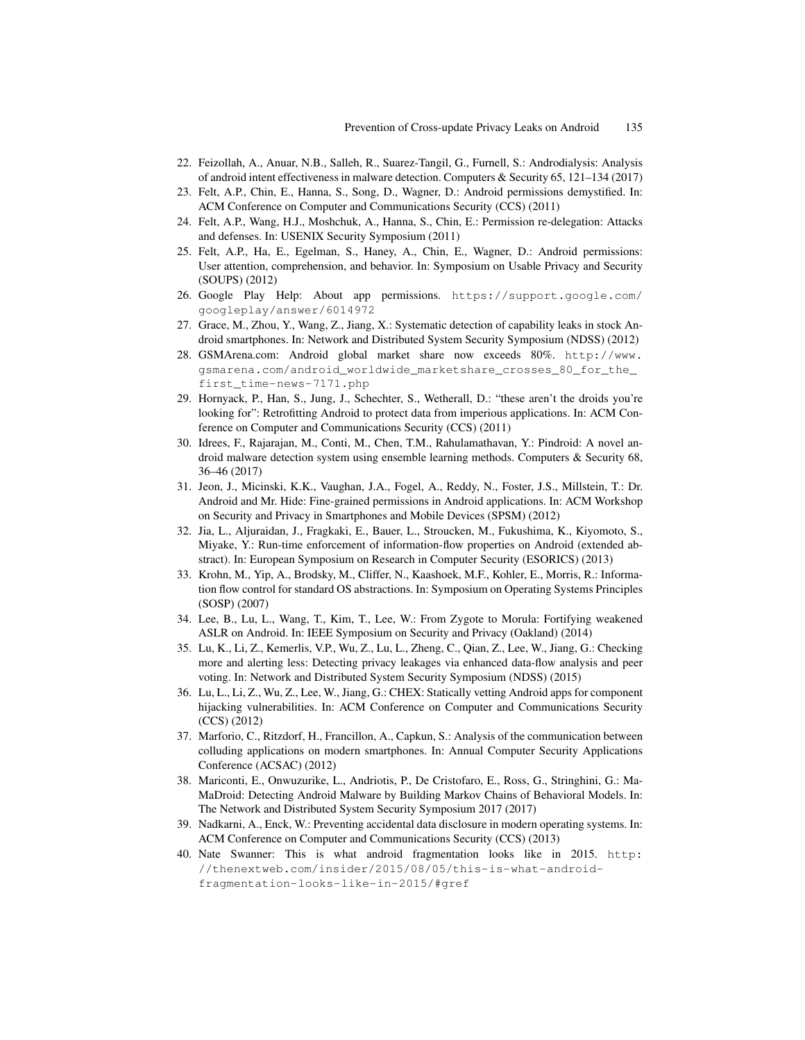- 22. Feizollah, A., Anuar, N.B., Salleh, R., Suarez-Tangil, G., Furnell, S.: Androdialysis: Analysis of android intent effectiveness in malware detection. Computers & Security 65, 121–134 (2017)
- 23. Felt, A.P., Chin, E., Hanna, S., Song, D., Wagner, D.: Android permissions demystified. In: ACM Conference on Computer and Communications Security (CCS) (2011)
- 24. Felt, A.P., Wang, H.J., Moshchuk, A., Hanna, S., Chin, E.: Permission re-delegation: Attacks and defenses. In: USENIX Security Symposium (2011)
- 25. Felt, A.P., Ha, E., Egelman, S., Haney, A., Chin, E., Wagner, D.: Android permissions: User attention, comprehension, and behavior. In: Symposium on Usable Privacy and Security (SOUPS) (2012)
- 26. Google Play Help: About app permissions. https://support.google.com/ googleplay/answer/6014972
- 27. Grace, M., Zhou, Y., Wang, Z., Jiang, X.: Systematic detection of capability leaks in stock Android smartphones. In: Network and Distributed System Security Symposium (NDSS) (2012)
- 28. GSMArena.com: Android global market share now exceeds 80%. http://www. gsmarena.com/android\_worldwide\_marketshare\_crosses\_80\_for\_the\_ first\_time-news-7171.php
- 29. Hornyack, P., Han, S., Jung, J., Schechter, S., Wetherall, D.: "these aren't the droids you're looking for": Retrofitting Android to protect data from imperious applications. In: ACM Conference on Computer and Communications Security (CCS) (2011)
- 30. Idrees, F., Rajarajan, M., Conti, M., Chen, T.M., Rahulamathavan, Y.: Pindroid: A novel android malware detection system using ensemble learning methods. Computers & Security 68, 36–46 (2017)
- 31. Jeon, J., Micinski, K.K., Vaughan, J.A., Fogel, A., Reddy, N., Foster, J.S., Millstein, T.: Dr. Android and Mr. Hide: Fine-grained permissions in Android applications. In: ACM Workshop on Security and Privacy in Smartphones and Mobile Devices (SPSM) (2012)
- 32. Jia, L., Aljuraidan, J., Fragkaki, E., Bauer, L., Stroucken, M., Fukushima, K., Kiyomoto, S., Miyake, Y.: Run-time enforcement of information-flow properties on Android (extended abstract). In: European Symposium on Research in Computer Security (ESORICS) (2013)
- 33. Krohn, M., Yip, A., Brodsky, M., Cliffer, N., Kaashoek, M.F., Kohler, E., Morris, R.: Information flow control for standard OS abstractions. In: Symposium on Operating Systems Principles (SOSP) (2007)
- 34. Lee, B., Lu, L., Wang, T., Kim, T., Lee, W.: From Zygote to Morula: Fortifying weakened ASLR on Android. In: IEEE Symposium on Security and Privacy (Oakland) (2014)
- 35. Lu, K., Li, Z., Kemerlis, V.P., Wu, Z., Lu, L., Zheng, C., Qian, Z., Lee, W., Jiang, G.: Checking more and alerting less: Detecting privacy leakages via enhanced data-flow analysis and peer voting. In: Network and Distributed System Security Symposium (NDSS) (2015)
- 36. Lu, L., Li, Z., Wu, Z., Lee, W., Jiang, G.: CHEX: Statically vetting Android apps for component hijacking vulnerabilities. In: ACM Conference on Computer and Communications Security (CCS) (2012)
- 37. Marforio, C., Ritzdorf, H., Francillon, A., Capkun, S.: Analysis of the communication between colluding applications on modern smartphones. In: Annual Computer Security Applications Conference (ACSAC) (2012)
- 38. Mariconti, E., Onwuzurike, L., Andriotis, P., De Cristofaro, E., Ross, G., Stringhini, G.: Ma-MaDroid: Detecting Android Malware by Building Markov Chains of Behavioral Models. In: The Network and Distributed System Security Symposium 2017 (2017)
- 39. Nadkarni, A., Enck, W.: Preventing accidental data disclosure in modern operating systems. In: ACM Conference on Computer and Communications Security (CCS) (2013)
- 40. Nate Swanner: This is what android fragmentation looks like in 2015. http: //thenextweb.com/insider/2015/08/05/this-is-what-androidfragmentation-looks-like-in-2015/#gref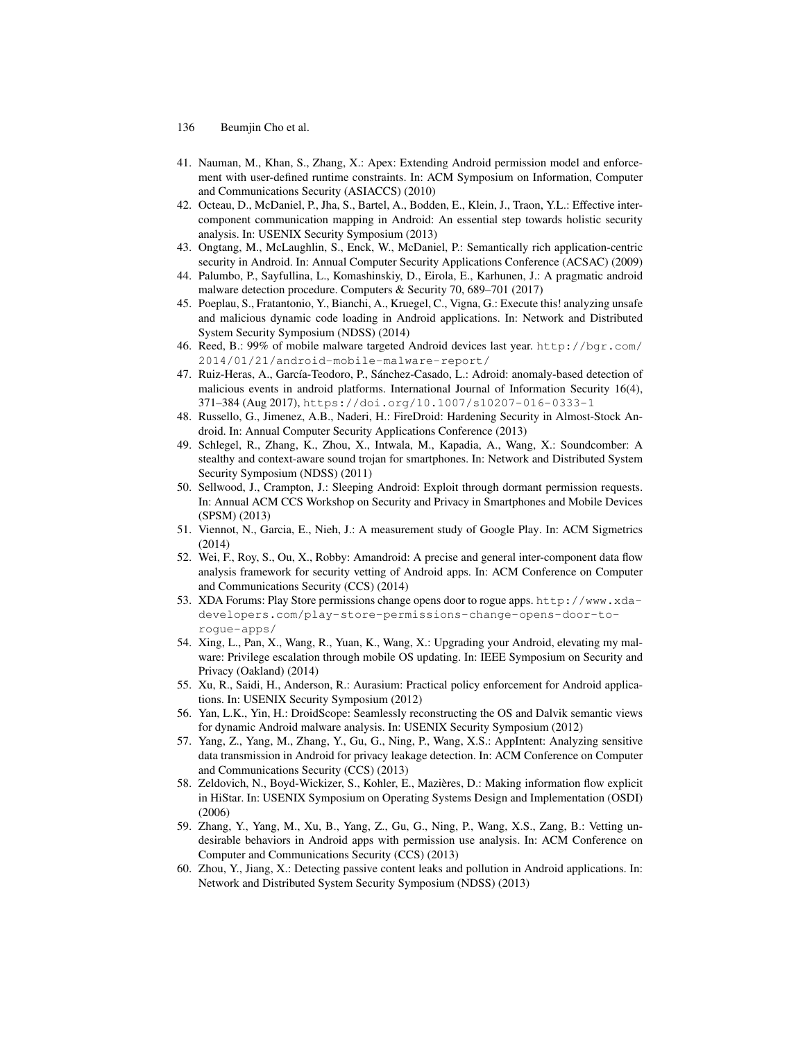- 136 Beumjin Cho et al.
- 41. Nauman, M., Khan, S., Zhang, X.: Apex: Extending Android permission model and enforcement with user-defined runtime constraints. In: ACM Symposium on Information, Computer and Communications Security (ASIACCS) (2010)
- 42. Octeau, D., McDaniel, P., Jha, S., Bartel, A., Bodden, E., Klein, J., Traon, Y.L.: Effective intercomponent communication mapping in Android: An essential step towards holistic security analysis. In: USENIX Security Symposium (2013)
- 43. Ongtang, M., McLaughlin, S., Enck, W., McDaniel, P.: Semantically rich application-centric security in Android. In: Annual Computer Security Applications Conference (ACSAC) (2009)
- 44. Palumbo, P., Sayfullina, L., Komashinskiy, D., Eirola, E., Karhunen, J.: A pragmatic android malware detection procedure. Computers & Security 70, 689–701 (2017)
- 45. Poeplau, S., Fratantonio, Y., Bianchi, A., Kruegel, C., Vigna, G.: Execute this! analyzing unsafe and malicious dynamic code loading in Android applications. In: Network and Distributed System Security Symposium (NDSS) (2014)
- 46. Reed, B.: 99% of mobile malware targeted Android devices last year. http://bgr.com/ 2014/01/21/android-mobile-malware-report/
- 47. Ruiz-Heras, A., García-Teodoro, P., Sánchez-Casado, L.: Adroid: anomaly-based detection of malicious events in android platforms. International Journal of Information Security 16(4), 371–384 (Aug 2017), https://doi.org/10.1007/s10207-016-0333-1
- 48. Russello, G., Jimenez, A.B., Naderi, H.: FireDroid: Hardening Security in Almost-Stock Android. In: Annual Computer Security Applications Conference (2013)
- 49. Schlegel, R., Zhang, K., Zhou, X., Intwala, M., Kapadia, A., Wang, X.: Soundcomber: A stealthy and context-aware sound trojan for smartphones. In: Network and Distributed System Security Symposium (NDSS) (2011)
- 50. Sellwood, J., Crampton, J.: Sleeping Android: Exploit through dormant permission requests. In: Annual ACM CCS Workshop on Security and Privacy in Smartphones and Mobile Devices (SPSM) (2013)
- 51. Viennot, N., Garcia, E., Nieh, J.: A measurement study of Google Play. In: ACM Sigmetrics (2014)
- 52. Wei, F., Roy, S., Ou, X., Robby: Amandroid: A precise and general inter-component data flow analysis framework for security vetting of Android apps. In: ACM Conference on Computer and Communications Security (CCS) (2014)
- 53. XDA Forums: Play Store permissions change opens door to rogue apps. http://www.xdadevelopers.com/play-store-permissions-change-opens-door-torogue-apps/
- 54. Xing, L., Pan, X., Wang, R., Yuan, K., Wang, X.: Upgrading your Android, elevating my malware: Privilege escalation through mobile OS updating. In: IEEE Symposium on Security and Privacy (Oakland) (2014)
- 55. Xu, R., Saidi, H., Anderson, R.: Aurasium: Practical policy enforcement for Android applications. In: USENIX Security Symposium (2012)
- 56. Yan, L.K., Yin, H.: DroidScope: Seamlessly reconstructing the OS and Dalvik semantic views for dynamic Android malware analysis. In: USENIX Security Symposium (2012)
- 57. Yang, Z., Yang, M., Zhang, Y., Gu, G., Ning, P., Wang, X.S.: AppIntent: Analyzing sensitive data transmission in Android for privacy leakage detection. In: ACM Conference on Computer and Communications Security (CCS) (2013)
- 58. Zeldovich, N., Boyd-Wickizer, S., Kohler, E., Mazieres, D.: Making information flow explicit ` in HiStar. In: USENIX Symposium on Operating Systems Design and Implementation (OSDI) (2006)
- 59. Zhang, Y., Yang, M., Xu, B., Yang, Z., Gu, G., Ning, P., Wang, X.S., Zang, B.: Vetting undesirable behaviors in Android apps with permission use analysis. In: ACM Conference on Computer and Communications Security (CCS) (2013)
- 60. Zhou, Y., Jiang, X.: Detecting passive content leaks and pollution in Android applications. In: Network and Distributed System Security Symposium (NDSS) (2013)